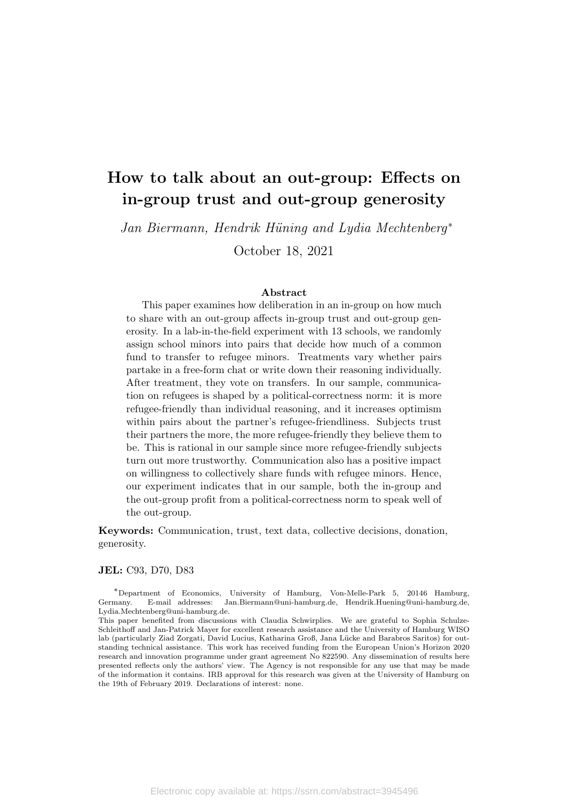# How to talk about an out-group: Effects on in-group trust and out-group generosity

Jan Biermann, Hendrik Hüning and Lydia Mechtenberg<sup>\*</sup>

October 18, 2021

#### Abstract

This paper examines how deliberation in an in-group on how much to share with an out-group affects in-group trust and out-group generosity. In a lab-in-the-field experiment with 13 schools, we randomly assign school minors into pairs that decide how much of a common fund to transfer to refugee minors. Treatments vary whether pairs partake in a free-form chat or write down their reasoning individually. After treatment, they vote on transfers. In our sample, communication on refugees is shaped by a political-correctness norm: it is more refugee-friendly than individual reasoning, and it increases optimism within pairs about the partner's refugee-friendliness. Subjects trust their partners the more, the more refugee-friendly they believe them to be. This is rational in our sample since more refugee-friendly subjects turn out more trustworthy. Communication also has a positive impact on willingness to collectively share funds with refugee minors. Hence, our experiment indicates that in our sample, both the in-group and the out-group profit from a political-correctness norm to speak well of the out-group.

Keywords: Communication, trust, text data, collective decisions, donation, generosity.

#### JEL: C93, D70, D83

<sup>∗</sup>Department of Economics, University of Hamburg, Von-Melle-Park 5, 20146 Hamburg, Germany. E-mail addresses: Jan.Biermann@uni-hamburg.de, Hendrik.Huening@uni-hamburg.de, Lydia.Mechtenberg@uni-hamburg.de.

This paper benefited from discussions with Claudia Schwirplies. We are grateful to Sophia Schulze-Schleithoff and Jan-Patrick Mayer for excellent research assistance and the University of Hamburg WISO lab (particularly Ziad Zorgati, David Lucius, Katharina Groß, Jana Lücke and Barabros Saritos) for outstanding technical assistance. This work has received funding from the European Union's Horizon 2020 research and innovation programme under grant agreement No 822590. Any dissemination of results here presented reflects only the authors' view. The Agency is not responsible for any use that may be made of the information it contains. IRB approval for this research was given at the University of Hamburg on the 19th of February 2019. Declarations of interest: none.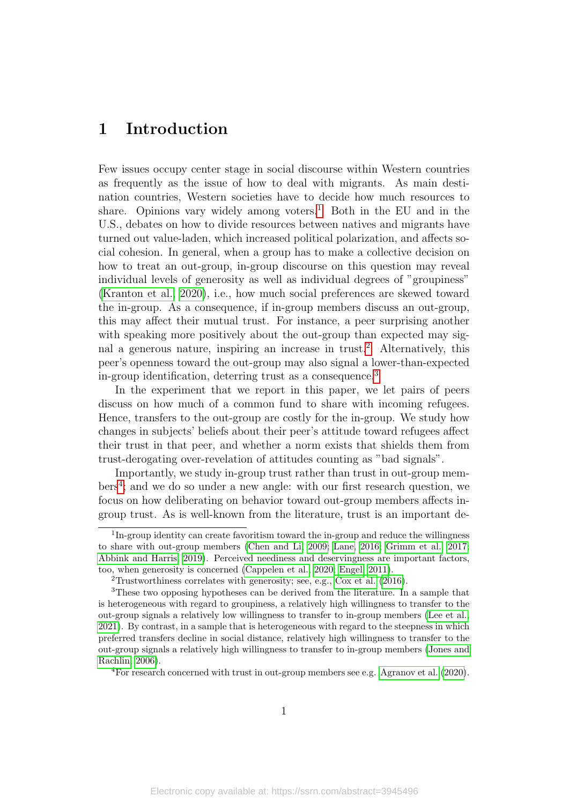## 1 Introduction

Few issues occupy center stage in social discourse within Western countries as frequently as the issue of how to deal with migrants. As main destination countries, Western societies have to decide how much resources to share. Opinions vary widely among voters.<sup>[1](#page-1-0)</sup> Both in the EU and in the U.S., debates on how to divide resources between natives and migrants have turned out value-laden, which increased political polarization, and affects social cohesion. In general, when a group has to make a collective decision on how to treat an out-group, in-group discourse on this question may reveal individual levels of generosity as well as individual degrees of "groupiness" [\(Kranton et al., 2020\)](#page-25-0), i.e., how much social preferences are skewed toward the in-group. As a consequence, if in-group members discuss an out-group, this may affect their mutual trust. For instance, a peer surprising another with speaking more positively about the out-group than expected may sig-nal a generous nature, inspiring an increase in trust.<sup>[2](#page-1-1)</sup> Alternatively, this peer's openness toward the out-group may also signal a lower-than-expected in-group identification, deterring trust as a consequence.[3](#page-1-2)

In the experiment that we report in this paper, we let pairs of peers discuss on how much of a common fund to share with incoming refugees. Hence, transfers to the out-group are costly for the in-group. We study how changes in subjects' beliefs about their peer's attitude toward refugees affect their trust in that peer, and whether a norm exists that shields them from trust-derogating over-revelation of attitudes counting as "bad signals".

Importantly, we study in-group trust rather than trust in out-group mem-bers<sup>[4](#page-1-3)</sup>; and we do so under a new angle: with our first research question, we focus on how deliberating on behavior toward out-group members affects ingroup trust. As is well-known from the literature, trust is an important de-

<span id="page-1-0"></span><sup>&</sup>lt;sup>1</sup>In-group identity can create favoritism toward the in-group and reduce the willingness to share with out-group members [\(Chen and Li, 2009;](#page-24-0) [Lane, 2016;](#page-26-0) [Grimm et al., 2017;](#page-25-1) [Abbink and Harris, 2019\)](#page-23-0). Perceived neediness and deservingness are important factors, too, when generosity is concerned [\(Cappelen et al., 2020;](#page-23-1) [Engel, 2011\)](#page-24-1).

<span id="page-1-2"></span><span id="page-1-1"></span><sup>&</sup>lt;sup>2</sup>Trustworthiness correlates with generosity; see, e.g., [Cox et al.](#page-24-2)  $(2016)$ .

<sup>3</sup>These two opposing hypotheses can be derived from the literature. In a sample that is heterogeneous with regard to groupiness, a relatively high willingness to transfer to the out-group signals a relatively low willingness to transfer to in-group members [\(Lee et al.,](#page-26-1) [2021\)](#page-26-1). By contrast, in a sample that is heterogeneous with regard to the steepness in which preferred transfers decline in social distance, relatively high willingness to transfer to the out-group signals a relatively high willingness to transfer to in-group members [\(Jones and](#page-25-2) [Rachlin, 2006\)](#page-25-2).

<span id="page-1-3"></span><sup>4</sup>For research concerned with trust in out-group members see e.g. [Agranov et al.](#page-23-2) [\(2020\)](#page-23-2).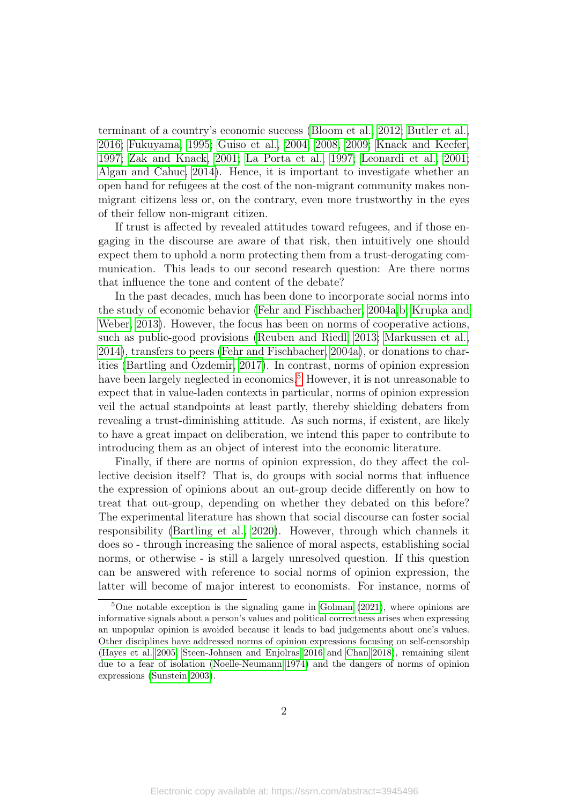terminant of a country's economic success [\(Bloom et al., 2012;](#page-23-3) [Butler et al.,](#page-23-4) [2016;](#page-23-4) [Fukuyama, 1995;](#page-24-3) [Guiso et al., 2004,](#page-25-3) [2008,](#page-25-4) [2009;](#page-25-5) [Knack and Keefer,](#page-25-6) [1997;](#page-25-6) [Zak and Knack, 2001;](#page-27-0) [La Porta et al., 1997;](#page-26-2) [Leonardi et al., 2001;](#page-26-3) [Algan and Cahuc, 2014\)](#page-23-5). Hence, it is important to investigate whether an open hand for refugees at the cost of the non-migrant community makes nonmigrant citizens less or, on the contrary, even more trustworthy in the eyes of their fellow non-migrant citizen.

If trust is affected by revealed attitudes toward refugees, and if those engaging in the discourse are aware of that risk, then intuitively one should expect them to uphold a norm protecting them from a trust-derogating communication. This leads to our second research question: Are there norms that influence the tone and content of the debate?

In the past decades, much has been done to incorporate social norms into the study of economic behavior [\(Fehr and Fischbacher, 2004a,](#page-24-4)[b;](#page-24-5) [Krupka and](#page-26-4) [Weber, 2013\)](#page-26-4). However, the focus has been on norms of cooperative actions, such as public-good provisions [\(Reuben and Riedl, 2013;](#page-26-5) [Markussen et al.,](#page-26-6) [2014\)](#page-26-6), transfers to peers [\(Fehr and Fischbacher, 2004a\)](#page-24-4), or donations to char-ities [\(Bartling and](#page-23-6) Özdemir, [2017\)](#page-23-6). In contrast, norms of opinion expression have been largely neglected in economics.<sup>[5](#page-2-0)</sup> However, it is not unreasonable to expect that in value-laden contexts in particular, norms of opinion expression veil the actual standpoints at least partly, thereby shielding debaters from revealing a trust-diminishing attitude. As such norms, if existent, are likely to have a great impact on deliberation, we intend this paper to contribute to introducing them as an object of interest into the economic literature.

Finally, if there are norms of opinion expression, do they affect the collective decision itself? That is, do groups with social norms that influence the expression of opinions about an out-group decide differently on how to treat that out-group, depending on whether they debated on this before? The experimental literature has shown that social discourse can foster social responsibility [\(Bartling et al., 2020\)](#page-23-7). However, through which channels it does so - through increasing the salience of moral aspects, establishing social norms, or otherwise - is still a largely unresolved question. If this question can be answered with reference to social norms of opinion expression, the latter will become of major interest to economists. For instance, norms of

<span id="page-2-0"></span><sup>5</sup>One notable exception is the signaling game in [Golman](#page-25-7) [\(2021\)](#page-25-7), where opinions are informative signals about a person's values and political correctness arises when expressing an unpopular opinion is avoided because it leads to bad judgements about one's values. Other disciplines have addressed norms of opinion expressions focusing on self-censorship [\(Hayes et al. 2005,](#page-25-8) [Steen-Johnsen and Enjolras 2016](#page-27-1) and [Chan 2018\)](#page-24-6), remaining silent due to a fear of isolation [\(Noelle-Neumann 1974\)](#page-26-7) and the dangers of norms of opinion expressions [\(Sunstein 2003\)](#page-27-2).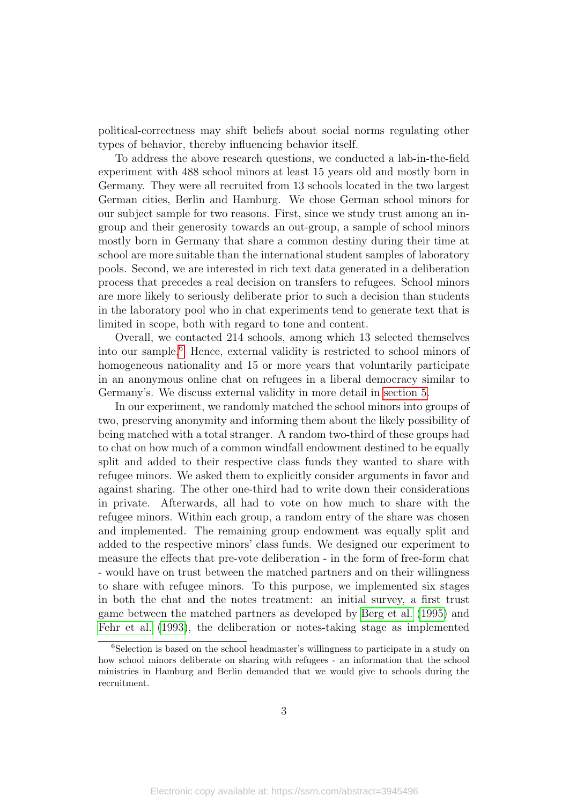political-correctness may shift beliefs about social norms regulating other types of behavior, thereby influencing behavior itself.

To address the above research questions, we conducted a lab-in-the-field experiment with 488 school minors at least 15 years old and mostly born in Germany. They were all recruited from 13 schools located in the two largest German cities, Berlin and Hamburg. We chose German school minors for our subject sample for two reasons. First, since we study trust among an ingroup and their generosity towards an out-group, a sample of school minors mostly born in Germany that share a common destiny during their time at school are more suitable than the international student samples of laboratory pools. Second, we are interested in rich text data generated in a deliberation process that precedes a real decision on transfers to refugees. School minors are more likely to seriously deliberate prior to such a decision than students in the laboratory pool who in chat experiments tend to generate text that is limited in scope, both with regard to tone and content.

Overall, we contacted 214 schools, among which 13 selected themselves into our sample.[6](#page-3-0) Hence, external validity is restricted to school minors of homogeneous nationality and 15 or more years that voluntarily participate in an anonymous online chat on refugees in a liberal democracy similar to Germany's. We discuss external validity in more detail in [section 5.](#page-22-0)

In our experiment, we randomly matched the school minors into groups of two, preserving anonymity and informing them about the likely possibility of being matched with a total stranger. A random two-third of these groups had to chat on how much of a common windfall endowment destined to be equally split and added to their respective class funds they wanted to share with refugee minors. We asked them to explicitly consider arguments in favor and against sharing. The other one-third had to write down their considerations in private. Afterwards, all had to vote on how much to share with the refugee minors. Within each group, a random entry of the share was chosen and implemented. The remaining group endowment was equally split and added to the respective minors' class funds. We designed our experiment to measure the effects that pre-vote deliberation - in the form of free-form chat - would have on trust between the matched partners and on their willingness to share with refugee minors. To this purpose, we implemented six stages in both the chat and the notes treatment: an initial survey, a first trust game between the matched partners as developed by [Berg et al.](#page-23-8) [\(1995\)](#page-23-8) and [Fehr et al.](#page-24-7) [\(1993\)](#page-24-7), the deliberation or notes-taking stage as implemented

<span id="page-3-0"></span><sup>6</sup>Selection is based on the school headmaster's willingness to participate in a study on how school minors deliberate on sharing with refugees - an information that the school ministries in Hamburg and Berlin demanded that we would give to schools during the recruitment.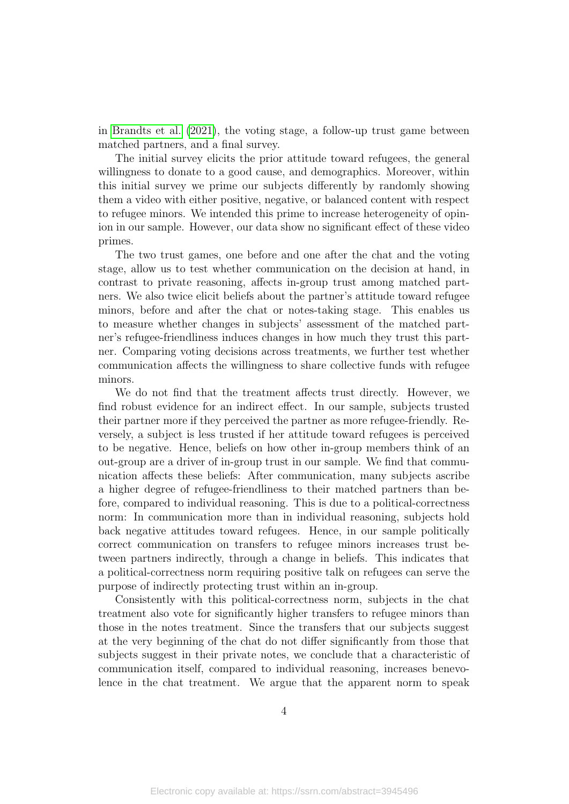in [Brandts et al.](#page-23-9) [\(2021\)](#page-23-9), the voting stage, a follow-up trust game between matched partners, and a final survey.

The initial survey elicits the prior attitude toward refugees, the general willingness to donate to a good cause, and demographics. Moreover, within this initial survey we prime our subjects differently by randomly showing them a video with either positive, negative, or balanced content with respect to refugee minors. We intended this prime to increase heterogeneity of opinion in our sample. However, our data show no significant effect of these video primes.

The two trust games, one before and one after the chat and the voting stage, allow us to test whether communication on the decision at hand, in contrast to private reasoning, affects in-group trust among matched partners. We also twice elicit beliefs about the partner's attitude toward refugee minors, before and after the chat or notes-taking stage. This enables us to measure whether changes in subjects' assessment of the matched partner's refugee-friendliness induces changes in how much they trust this partner. Comparing voting decisions across treatments, we further test whether communication affects the willingness to share collective funds with refugee minors.

We do not find that the treatment affects trust directly. However, we find robust evidence for an indirect effect. In our sample, subjects trusted their partner more if they perceived the partner as more refugee-friendly. Reversely, a subject is less trusted if her attitude toward refugees is perceived to be negative. Hence, beliefs on how other in-group members think of an out-group are a driver of in-group trust in our sample. We find that communication affects these beliefs: After communication, many subjects ascribe a higher degree of refugee-friendliness to their matched partners than before, compared to individual reasoning. This is due to a political-correctness norm: In communication more than in individual reasoning, subjects hold back negative attitudes toward refugees. Hence, in our sample politically correct communication on transfers to refugee minors increases trust between partners indirectly, through a change in beliefs. This indicates that a political-correctness norm requiring positive talk on refugees can serve the purpose of indirectly protecting trust within an in-group.

Consistently with this political-correctness norm, subjects in the chat treatment also vote for significantly higher transfers to refugee minors than those in the notes treatment. Since the transfers that our subjects suggest at the very beginning of the chat do not differ significantly from those that subjects suggest in their private notes, we conclude that a characteristic of communication itself, compared to individual reasoning, increases benevolence in the chat treatment. We argue that the apparent norm to speak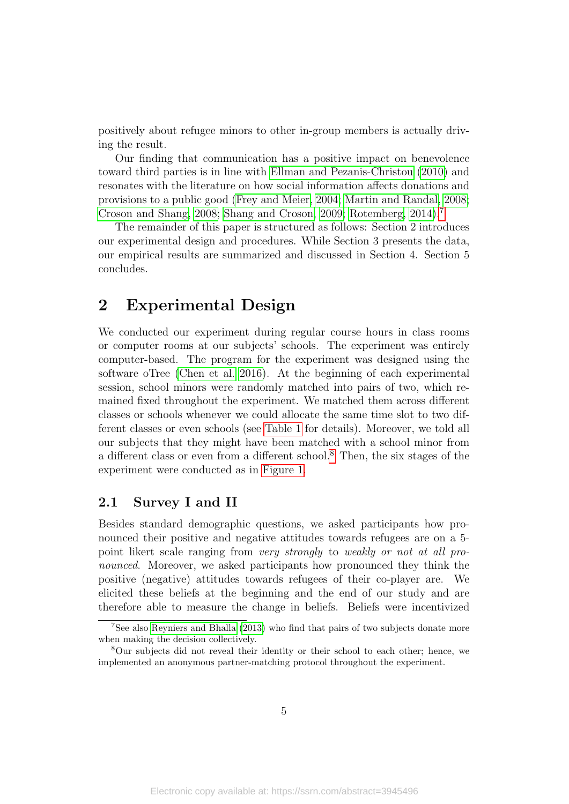positively about refugee minors to other in-group members is actually driving the result.

Our finding that communication has a positive impact on benevolence toward third parties is in line with [Ellman and Pezanis-Christou](#page-24-8) [\(2010\)](#page-24-8) and resonates with the literature on how social information affects donations and provisions to a public good [\(Frey and Meier, 2004;](#page-24-9) [Martin and Randal, 2008;](#page-26-8) [Croson and Shang, 2008;](#page-24-10) [Shang and Croson, 2009;](#page-27-3) [Rotemberg, 2014\)](#page-27-4).[7](#page-5-0)

The remainder of this paper is structured as follows: Section 2 introduces our experimental design and procedures. While Section 3 presents the data, our empirical results are summarized and discussed in Section 4. Section 5 concludes.

### 2 Experimental Design

We conducted our experiment during regular course hours in class rooms or computer rooms at our subjects' schools. The experiment was entirely computer-based. The program for the experiment was designed using the software oTree [\(Chen et al. 2016\)](#page-24-11). At the beginning of each experimental session, school minors were randomly matched into pairs of two, which remained fixed throughout the experiment. We matched them across different classes or schools whenever we could allocate the same time slot to two different classes or even schools (see [Table 1](#page-10-0) for details). Moreover, we told all our subjects that they might have been matched with a school minor from a different class or even from a different school.[8](#page-5-1) Then, the six stages of the experiment were conducted as in [Figure 1.](#page-6-0)

#### 2.1 Survey I and II

Besides standard demographic questions, we asked participants how pronounced their positive and negative attitudes towards refugees are on a 5 point likert scale ranging from very strongly to weakly or not at all pronounced. Moreover, we asked participants how pronounced they think the positive (negative) attitudes towards refugees of their co-player are. We elicited these beliefs at the beginning and the end of our study and are therefore able to measure the change in beliefs. Beliefs were incentivized

<span id="page-5-0"></span><sup>7</sup>See also [Reyniers and Bhalla](#page-27-5) [\(2013\)](#page-27-5) who find that pairs of two subjects donate more when making the decision collectively.

<span id="page-5-1"></span><sup>8</sup>Our subjects did not reveal their identity or their school to each other; hence, we implemented an anonymous partner-matching protocol throughout the experiment.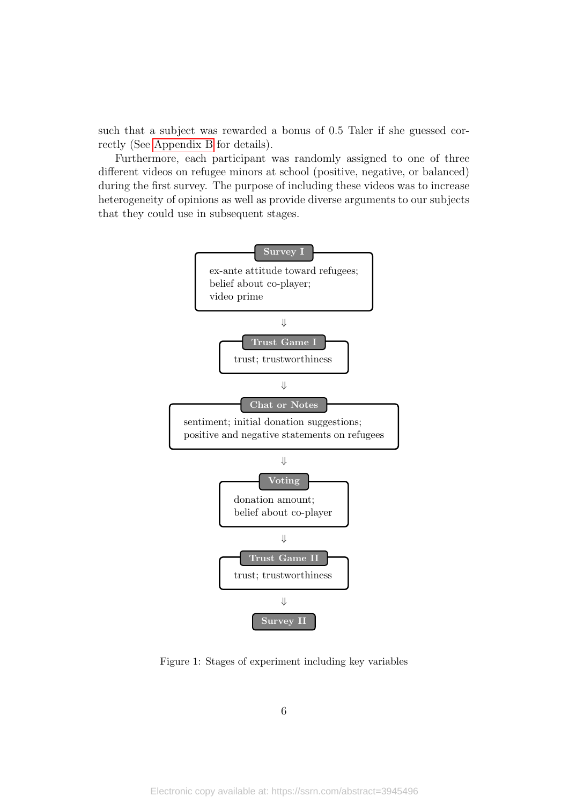such that a subject was rewarded a bonus of 0.5 Taler if she guessed correctly (See [Appendix B](#page-28-0) for details).

Furthermore, each participant was randomly assigned to one of three different videos on refugee minors at school (positive, negative, or balanced) during the first survey. The purpose of including these videos was to increase heterogeneity of opinions as well as provide diverse arguments to our subjects that they could use in subsequent stages.

<span id="page-6-0"></span>

Figure 1: Stages of experiment including key variables

6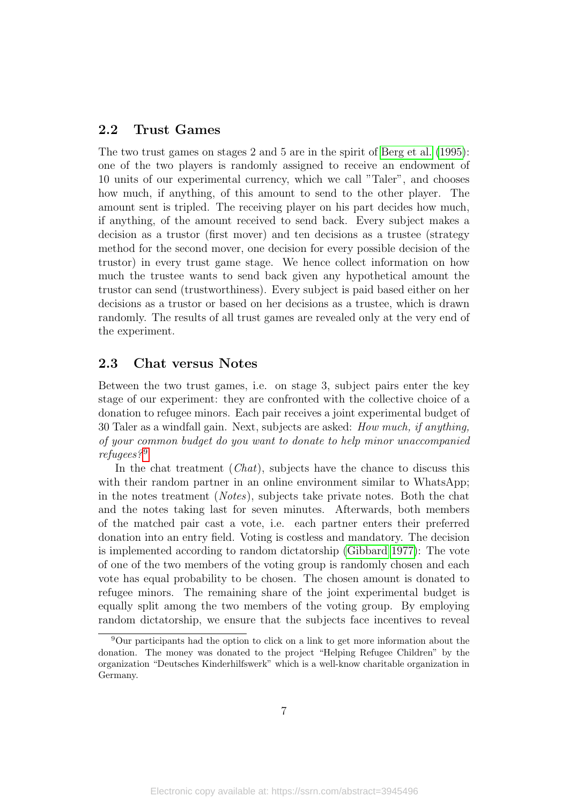#### 2.2 Trust Games

The two trust games on stages 2 and 5 are in the spirit of [Berg et al.](#page-23-8) [\(1995\)](#page-23-8): one of the two players is randomly assigned to receive an endowment of 10 units of our experimental currency, which we call "Taler", and chooses how much, if anything, of this amount to send to the other player. The amount sent is tripled. The receiving player on his part decides how much, if anything, of the amount received to send back. Every subject makes a decision as a trustor (first mover) and ten decisions as a trustee (strategy method for the second mover, one decision for every possible decision of the trustor) in every trust game stage. We hence collect information on how much the trustee wants to send back given any hypothetical amount the trustor can send (trustworthiness). Every subject is paid based either on her decisions as a trustor or based on her decisions as a trustee, which is drawn randomly. The results of all trust games are revealed only at the very end of the experiment.

#### 2.3 Chat versus Notes

Between the two trust games, i.e. on stage 3, subject pairs enter the key stage of our experiment: they are confronted with the collective choice of a donation to refugee minors. Each pair receives a joint experimental budget of 30 Taler as a windfall gain. Next, subjects are asked: How much, if anything, of your common budget do you want to donate to help minor unaccompanied refugees?<sup>[9](#page-7-0)</sup>

In the chat treatment  $(Chat)$ , subjects have the chance to discuss this with their random partner in an online environment similar to WhatsApp; in the notes treatment (Notes), subjects take private notes. Both the chat and the notes taking last for seven minutes. Afterwards, both members of the matched pair cast a vote, i.e. each partner enters their preferred donation into an entry field. Voting is costless and mandatory. The decision is implemented according to random dictatorship [\(Gibbard 1977\)](#page-25-9): The vote of one of the two members of the voting group is randomly chosen and each vote has equal probability to be chosen. The chosen amount is donated to refugee minors. The remaining share of the joint experimental budget is equally split among the two members of the voting group. By employing random dictatorship, we ensure that the subjects face incentives to reveal

<span id="page-7-0"></span><sup>9</sup>Our participants had the option to click on a link to get more information about the donation. The money was donated to the project "Helping Refugee Children" by the organization "Deutsches Kinderhilfswerk" which is a well-know charitable organization in Germany.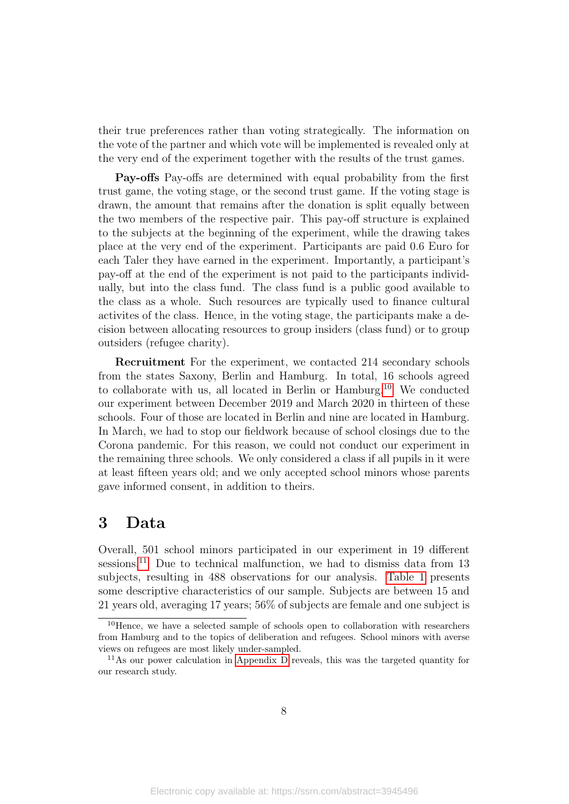their true preferences rather than voting strategically. The information on the vote of the partner and which vote will be implemented is revealed only at the very end of the experiment together with the results of the trust games.

Pay-offs Pay-offs are determined with equal probability from the first trust game, the voting stage, or the second trust game. If the voting stage is drawn, the amount that remains after the donation is split equally between the two members of the respective pair. This pay-off structure is explained to the subjects at the beginning of the experiment, while the drawing takes place at the very end of the experiment. Participants are paid 0.6 Euro for each Taler they have earned in the experiment. Importantly, a participant's pay-off at the end of the experiment is not paid to the participants individually, but into the class fund. The class fund is a public good available to the class as a whole. Such resources are typically used to finance cultural activites of the class. Hence, in the voting stage, the participants make a decision between allocating resources to group insiders (class fund) or to group outsiders (refugee charity).

Recruitment For the experiment, we contacted 214 secondary schools from the states Saxony, Berlin and Hamburg. In total, 16 schools agreed to collaborate with us, all located in Berlin or Hamburg.[10](#page-8-0) We conducted our experiment between December 2019 and March 2020 in thirteen of these schools. Four of those are located in Berlin and nine are located in Hamburg. In March, we had to stop our fieldwork because of school closings due to the Corona pandemic. For this reason, we could not conduct our experiment in the remaining three schools. We only considered a class if all pupils in it were at least fifteen years old; and we only accepted school minors whose parents gave informed consent, in addition to theirs.

### 3 Data

Overall, 501 school minors participated in our experiment in 19 different sessions.<sup>[11](#page-8-1)</sup> Due to technical malfunction, we had to dismiss data from 13 subjects, resulting in 488 observations for our analysis. [Table 1](#page-10-0) presents some descriptive characteristics of our sample. Subjects are between 15 and 21 years old, averaging 17 years; 56% of subjects are female and one subject is

<span id="page-8-0"></span><sup>&</sup>lt;sup>10</sup>Hence, we have a selected sample of schools open to collaboration with researchers from Hamburg and to the topics of deliberation and refugees. School minors with averse views on refugees are most likely under-sampled.

<span id="page-8-1"></span><sup>11</sup>As our power calculation in [Appendix D](#page-33-0) reveals, this was the targeted quantity for our research study.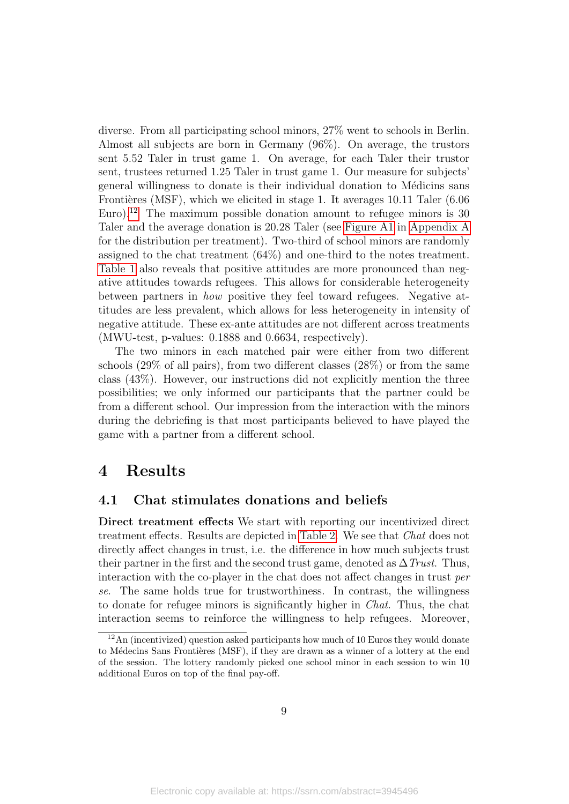diverse. From all participating school minors, 27% went to schools in Berlin. Almost all subjects are born in Germany (96%). On average, the trustors sent 5.52 Taler in trust game 1. On average, for each Taler their trustor sent, trustees returned 1.25 Taler in trust game 1. Our measure for subjects' general willingness to donate is their individual donation to Médicins sans Frontières (MSF), which we elicited in stage 1. It averages  $10.11$  Taler (6.06) Euro).<sup>[12](#page-9-0)</sup> The maximum possible donation amount to refugee minors is 30 Taler and the average donation is 20.28 Taler (see [Figure A1](#page-28-1) in [Appendix A](#page-28-2) for the distribution per treatment). Two-third of school minors are randomly assigned to the chat treatment (64%) and one-third to the notes treatment. [Table 1](#page-10-0) also reveals that positive attitudes are more pronounced than negative attitudes towards refugees. This allows for considerable heterogeneity between partners in how positive they feel toward refugees. Negative attitudes are less prevalent, which allows for less heterogeneity in intensity of negative attitude. These ex-ante attitudes are not different across treatments (MWU-test, p-values: 0.1888 and 0.6634, respectively).

The two minors in each matched pair were either from two different schools (29% of all pairs), from two different classes (28%) or from the same class (43%). However, our instructions did not explicitly mention the three possibilities; we only informed our participants that the partner could be from a different school. Our impression from the interaction with the minors during the debriefing is that most participants believed to have played the game with a partner from a different school.

### 4 Results

#### 4.1 Chat stimulates donations and beliefs

Direct treatment effects We start with reporting our incentivized direct treatment effects. Results are depicted in [Table 2.](#page-11-0) We see that Chat does not directly affect changes in trust, i.e. the difference in how much subjects trust their partner in the first and the second trust game, denoted as  $\Delta$  Trust. Thus, interaction with the co-player in the chat does not affect changes in trust per se. The same holds true for trustworthiness. In contrast, the willingness to donate for refugee minors is significantly higher in Chat. Thus, the chat interaction seems to reinforce the willingness to help refugees. Moreover,

<span id="page-9-0"></span><sup>12</sup>An (incentivized) question asked participants how much of 10 Euros they would donate to Médecins Sans Frontières (MSF), if they are drawn as a winner of a lottery at the end of the session. The lottery randomly picked one school minor in each session to win 10 additional Euros on top of the final pay-off.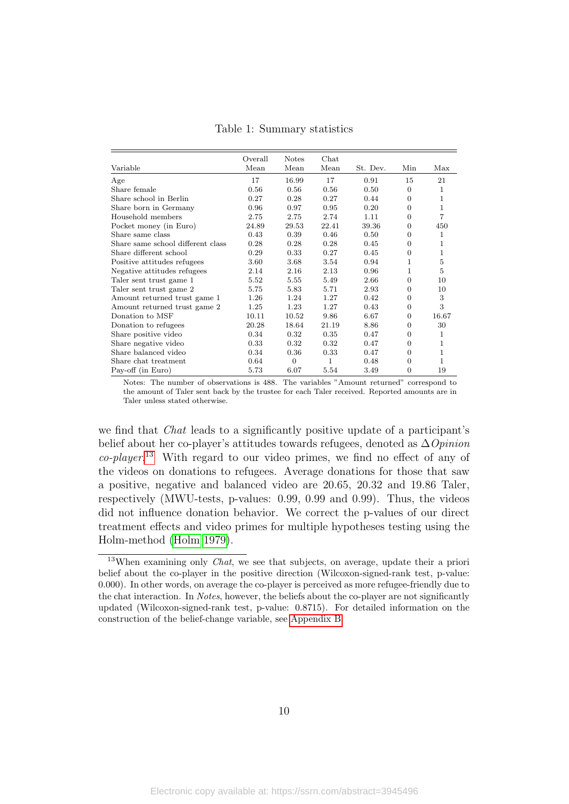<span id="page-10-0"></span>

| Variable                          | Overall<br>Mean | <b>Notes</b><br>Mean | Chat<br>Mean | St. Dev. | Min              | Max   |
|-----------------------------------|-----------------|----------------------|--------------|----------|------------------|-------|
| Age                               | 17              | 16.99                | 17           | 0.91     | 15               | 21    |
| Share female                      | 0.56            | 0.56                 | 0.56         | 0.50     | $\boldsymbol{0}$ | 1     |
| Share school in Berlin            | 0.27            | 0.28                 | 0.27         | 0.44     | $\overline{0}$   | 1     |
| Share born in Germany             | 0.96            | 0.97                 | 0.95         | 0.20     | $\overline{0}$   | 1     |
| Household members                 | 2.75            | 2.75                 | 2.74         | 1.11     | $\overline{0}$   | 7     |
| Pocket money (in Euro)            | 24.89           | 29.53                | 22.41        | 39.36    | $\overline{0}$   | 450   |
| Share same class                  | 0.43            | 0.39                 | 0.46         | 0.50     | 0                | 1     |
| Share same school different class | 0.28            | 0.28                 | 0.28         | 0.45     | 0                | 1     |
| Share different school            | 0.29            | 0.33                 | 0.27         | 0.45     | 0                | 1     |
| Positive attitudes refugees       | 3.60            | 3.68                 | 3.54         | 0.94     | $\mathbf{1}$     | 5     |
| Negative attitudes refugees       | 2.14            | 2.16                 | 2.13         | 0.96     | $\mathbf{1}$     | 5     |
| Taler sent trust game 1           | 5.52            | 5.55                 | 5.49         | 2.66     | $\overline{0}$   | 10    |
| Taler sent trust game 2           | 5.75            | 5.83                 | 5.71         | 2.93     | $\overline{0}$   | 10    |
| Amount returned trust game 1      | 1.26            | 1.24                 | 1.27         | 0.42     | $\overline{0}$   | 3     |
| Amount returned trust game 2      | 1.25            | 1.23                 | 1.27         | 0.43     | $\overline{0}$   | 3     |
| Donation to MSF                   | 10.11           | 10.52                | 9.86         | 6.67     | $\overline{0}$   | 16.67 |
| Donation to refugees              | 20.28           | 18.64                | 21.19        | 8.86     | $\overline{0}$   | 30    |
| Share positive video              | 0.34            | 0.32                 | 0.35         | 0.47     | $\overline{0}$   | 1     |
| Share negative video              | 0.33            | 0.32                 | 0.32         | 0.47     | $\overline{0}$   | 1     |
| Share balanced video              | 0.34            | 0.36                 | 0.33         | 0.47     | $\Omega$         | 1     |
| Share chat treatment              | 0.64            | $\overline{0}$       | 1            | 0.48     | $\overline{0}$   | 1     |
| Pay-off (in Euro)                 | 5.73            | 6.07                 | 5.54         | 3.49     | $\overline{0}$   | 19    |

Table 1: Summary statistics

Notes: The number of observations is 488. The variables "Amount returned" correspond to the amount of Taler sent back by the trustee for each Taler received. Reported amounts are in Taler unless stated otherwise.

we find that Chat leads to a significantly positive update of a participant's belief about her co-player's attitudes towards refugees, denoted as  $\Delta$ Opinion co-player. [13](#page-10-1) With regard to our video primes, we find no effect of any of the videos on donations to refugees. Average donations for those that saw a positive, negative and balanced video are 20.65, 20.32 and 19.86 Taler, respectively (MWU-tests, p-values: 0.99, 0.99 and 0.99). Thus, the videos did not influence donation behavior. We correct the p-values of our direct treatment effects and video primes for multiple hypotheses testing using the Holm-method [\(Holm 1979\)](#page-25-10).

<span id="page-10-1"></span><sup>&</sup>lt;sup>13</sup>When examining only *Chat*, we see that subjects, on average, update their a priori belief about the co-player in the positive direction (Wilcoxon-signed-rank test, p-value: 0.000). In other words, on average the co-player is perceived as more refugee-friendly due to the chat interaction. In Notes, however, the beliefs about the co-player are not significantly updated (Wilcoxon-signed-rank test, p-value: 0.8715). For detailed information on the construction of the belief-change variable, see [Appendix B.](#page-28-0)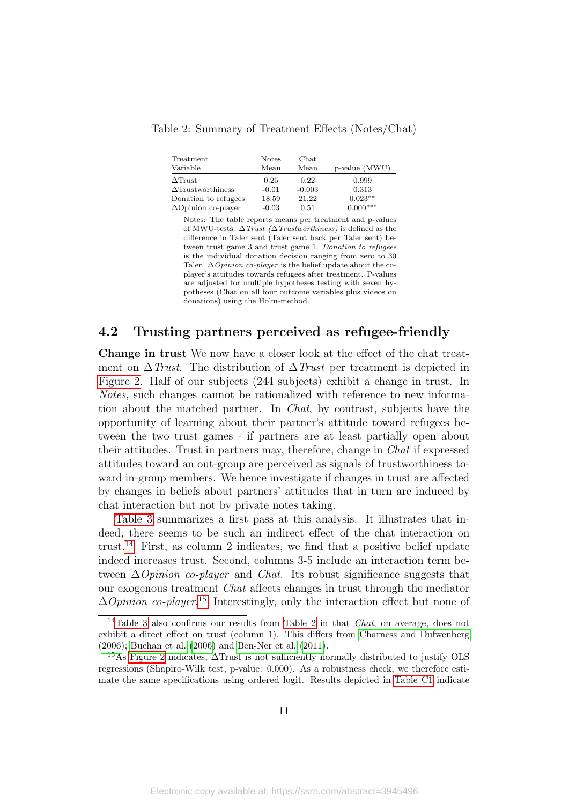<span id="page-11-0"></span>Table 2: Summary of Treatment Effects (Notes/Chat)

| Treatment<br>Variable      | <b>Notes</b><br>Mean | Chat<br>Mean | p-value (MWU) |
|----------------------------|----------------------|--------------|---------------|
|                            |                      |              |               |
| $\Delta$ Trust             | 0.25                 | 0.22         | 0.999         |
| $\Delta$ Trustworthiness   | $-0.01$              | $-0.003$     | 0.313         |
| Donation to refugees       | 18.59                | 21.22        | $0.023**$     |
| $\Delta$ Opinion co-player | $-0.03$              | 0.51         | $0.000***$    |

Notes: The table reports means per treatment and p-values of MWU-tests.  $\Delta \text{Trust } (\Delta \text{Trustworthiness})$  is defined as the difference in Taler sent (Taler sent back per Taler sent) between trust game 3 and trust game 1. Donation to refugees is the individual donation decision ranging from zero to 30 Taler.  $\Delta$ *Opinion co-player* is the belief update about the coplayer's attitudes towards refugees after treatment. P-values are adjusted for multiple hypotheses testing with seven hypotheses (Chat on all four outcome variables plus videos on donations) using the Holm-method.

### 4.2 Trusting partners perceived as refugee-friendly

Change in trust We now have a closer look at the effect of the chat treatment on  $\Delta$ Trust. The distribution of  $\Delta$ Trust per treatment is depicted in [Figure 2.](#page-12-0) Half of our subjects (244 subjects) exhibit a change in trust. In Notes, such changes cannot be rationalized with reference to new information about the matched partner. In Chat, by contrast, subjects have the opportunity of learning about their partner's attitude toward refugees between the two trust games - if partners are at least partially open about their attitudes. Trust in partners may, therefore, change in Chat if expressed attitudes toward an out-group are perceived as signals of trustworthiness toward in-group members. We hence investigate if changes in trust are affected by changes in beliefs about partners' attitudes that in turn are induced by chat interaction but not by private notes taking.

[Table 3](#page-12-1) summarizes a first pass at this analysis. It illustrates that indeed, there seems to be such an indirect effect of the chat interaction on trust.<sup>[14](#page-11-1)</sup> First, as column 2 indicates, we find that a positive belief update indeed increases trust. Second, columns 3-5 include an interaction term between  $\Delta$ *Opinion co-player* and *Chat*. Its robust significance suggests that our exogenous treatment Chat affects changes in trust through the mediator  $\Delta$ *Opinion co-player*.<sup>[15](#page-11-2)</sup> Interestingly, only the interaction effect but none of

<span id="page-11-1"></span><sup>&</sup>lt;sup>14</sup>[Table 3](#page-12-1) also confirms our results from [Table 2](#page-11-0) in that *Chat*, on average, does not exhibit a direct effect on trust (column 1). This differs from [Charness and Dufwenberg](#page-24-12) [\(2006\)](#page-24-12); [Buchan et al.](#page-23-10) [\(2006\)](#page-23-10) and [Ben-Ner et al.](#page-23-11) [\(2011\)](#page-23-11).

<span id="page-11-2"></span><sup>15</sup>As [Figure 2](#page-12-0) indicates, ∆Trust is not sufficiently normally distributed to justify OLS regressions (Shapiro-Wilk test, p-value: 0.000). As a robustness check, we therefore estimate the same specifications using ordered logit. Results depicted in [Table C1](#page-32-0) indicate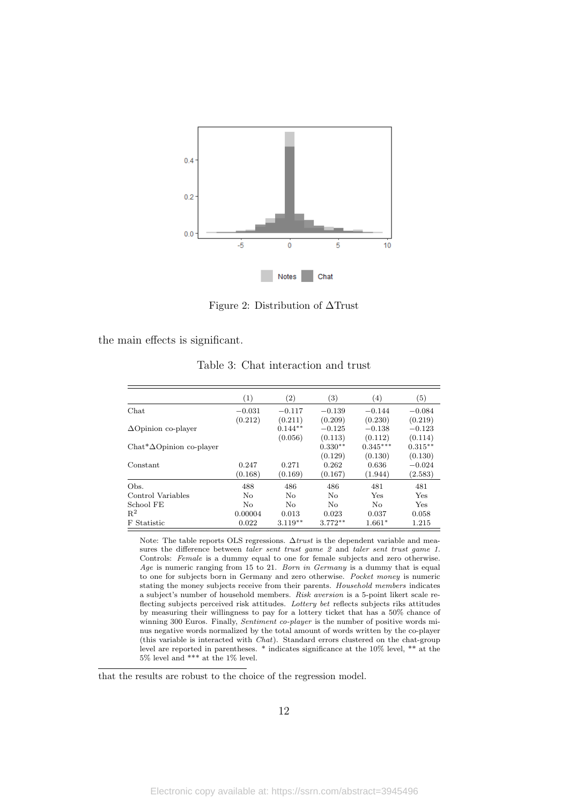<span id="page-12-0"></span>

Figure 2: Distribution of ∆Trust

<span id="page-12-1"></span>the main effects is significant.

|                                   | (1)      | $\left( 2\right)$ | $\left( 3\right)$ | (4)        | $\left( 5\right)$ |
|-----------------------------------|----------|-------------------|-------------------|------------|-------------------|
| Chat                              | $-0.031$ | $-0.117$          | $-0.139$          | $-0.144$   | $-0.084$          |
|                                   | (0.212)  | (0.211)           | (0.209)           | (0.230)    | (0.219)           |
| $\Delta$ Opinion co-player        |          | $0.144**$         | $-0.125$          | $-0.138$   | $-0.123$          |
|                                   |          | (0.056)           | (0.113)           | (0.112)    | (0.114)           |
| $Chat^* \Delta$ Opinion co-player |          |                   | $0.330**$         | $0.345***$ | $0.315***$        |
|                                   |          |                   | (0.129)           | (0.130)    | (0.130)           |
| Constant                          | 0.247    | 0.271             | 0.262             | 0.636      | $-0.024$          |
|                                   | (0.168)  | (0.169)           | (0.167)           | (1.944)    | (2.583)           |
| Obs.                              | 488      | 486               | 486               | 481        | 481               |
| Control Variables                 | No       | No                | No                | Yes        | Yes               |
| School FE                         | No.      | No                | No                | No         | Yes               |
| $R^2$                             | 0.00004  | 0.013             | 0.023             | 0.037      | 0.058             |
| F Statistic                       | 0.022    | $3.119**$         | $3.772**$         | $1.661*$   | 1.215             |

Table 3: Chat interaction and trust

Note: The table reports OLS regressions.  $\Delta trust$  is the dependent variable and measures the difference between taler sent trust game 2 and taler sent trust game 1. Controls: Female is a dummy equal to one for female subjects and zero otherwise. Age is numeric ranging from 15 to 21. Born in Germany is a dummy that is equal to one for subjects born in Germany and zero otherwise. Pocket money is numeric stating the money subjects receive from their parents. Household members indicates a subject's number of household members. Risk aversion is a 5-point likert scale reflecting subjects perceived risk attitudes. Lottery bet reflects subjects riks attitudes by measuring their willingness to pay for a lottery ticket that has a 50% chance of winning 300 Euros. Finally, Sentiment co-player is the number of positive words minus negative words normalized by the total amount of words written by the co-player (this variable is interacted with Chat). Standard errors clustered on the chat-group level are reported in parentheses. \* indicates significance at the 10% level, \*\* at the 5% level and \*\*\* at the 1% level.

that the results are robust to the choice of the regression model.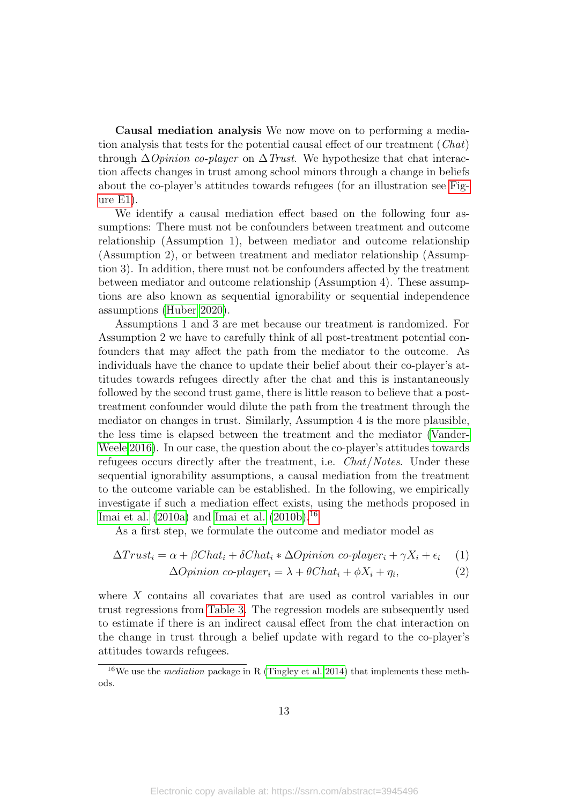Causal mediation analysis We now move on to performing a mediation analysis that tests for the potential causal effect of our treatment  $(Chat)$ through  $\Delta$ *Opinion co-player* on  $\Delta$ *Trust.* We hypothesize that chat interaction affects changes in trust among school minors through a change in beliefs about the co-player's attitudes towards refugees (for an illustration see [Fig](#page-35-0)[ure E1\)](#page-35-0).

We identify a causal mediation effect based on the following four assumptions: There must not be confounders between treatment and outcome relationship (Assumption 1), between mediator and outcome relationship (Assumption 2), or between treatment and mediator relationship (Assumption 3). In addition, there must not be confounders affected by the treatment between mediator and outcome relationship (Assumption 4). These assumptions are also known as sequential ignorability or sequential independence assumptions [\(Huber 2020\)](#page-25-11).

Assumptions 1 and 3 are met because our treatment is randomized. For Assumption 2 we have to carefully think of all post-treatment potential confounders that may affect the path from the mediator to the outcome. As individuals have the chance to update their belief about their co-player's attitudes towards refugees directly after the chat and this is instantaneously followed by the second trust game, there is little reason to believe that a posttreatment confounder would dilute the path from the treatment through the mediator on changes in trust. Similarly, Assumption 4 is the more plausible, the less time is elapsed between the treatment and the mediator [\(Vander-](#page-27-6)[Weele 2016\)](#page-27-6). In our case, the question about the co-player's attitudes towards refugees occurs directly after the treatment, i.e. *Chat/Notes*. Under these sequential ignorability assumptions, a causal mediation from the treatment to the outcome variable can be established. In the following, we empirically investigate if such a mediation effect exists, using the methods proposed in [Imai et al.](#page-25-12)  $(2010a)$  and [Imai et al.](#page-25-13)  $(2010b)$ <sup>[16](#page-13-0)</sup>

As a first step, we formulate the outcome and mediator model as

$$
\Delta Trust_i = \alpha + \beta Chat_i + \delta Chat_i * \Delta Opinion\ co-player_i + \gamma X_i + \epsilon_i \tag{1}
$$

$$
\Delta Opinion\ co\text{-}player_i = \lambda + \theta Chat_i + \phi X_i + \eta_i,\tag{2}
$$

where X contains all covariates that are used as control variables in our trust regressions from [Table 3.](#page-12-1) The regression models are subsequently used to estimate if there is an indirect causal effect from the chat interaction on the change in trust through a belief update with regard to the co-player's attitudes towards refugees.

<span id="page-13-0"></span><sup>&</sup>lt;sup>16</sup>We use the *mediation* package in R [\(Tingley et al. 2014\)](#page-27-7) that implements these methods.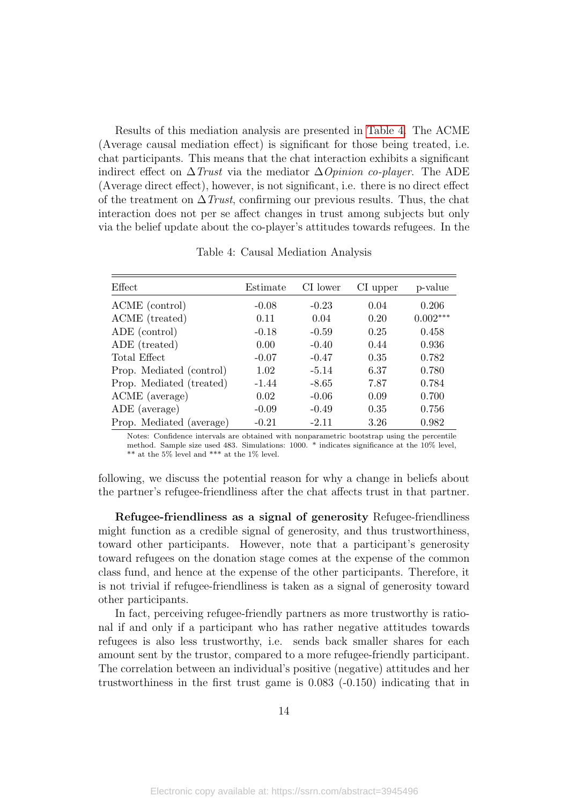Results of this mediation analysis are presented in [Table 4.](#page-14-0) The ACME (Average causal mediation effect) is significant for those being treated, i.e. chat participants. This means that the chat interaction exhibits a significant indirect effect on  $\Delta$ Trust via the mediator  $\Delta$ Opinion co-player. The ADE (Average direct effect), however, is not significant, i.e. there is no direct effect of the treatment on  $\Delta$ Trust, confirming our previous results. Thus, the chat interaction does not per se affect changes in trust among subjects but only via the belief update about the co-player's attitudes towards refugees. In the

<span id="page-14-0"></span>

| Effect                   | Estimate | CI lower | CI upper | p-value    |
|--------------------------|----------|----------|----------|------------|
| ACME (control)           | $-0.08$  | $-0.23$  | 0.04     | 0.206      |
| ACME (treated)           | 0.11     | 0.04     | 0.20     | $0.002***$ |
| ADE (control)            | $-0.18$  | $-0.59$  | 0.25     | 0.458      |
| ADE (treated)            | 0.00     | $-0.40$  | 0.44     | 0.936      |
| Total Effect             | $-0.07$  | $-0.47$  | 0.35     | 0.782      |
| Prop. Mediated (control) | 1.02     | $-5.14$  | 6.37     | 0.780      |
| Prop. Mediated (treated) | $-1.44$  | $-8.65$  | 7.87     | 0.784      |
| ACME (average)           | 0.02     | $-0.06$  | 0.09     | 0.700      |
| ADE (average)            | $-0.09$  | $-0.49$  | 0.35     | 0.756      |
| Prop. Mediated (average) | $-0.21$  | $-2.11$  | 3.26     | 0.982      |

Table 4: Causal Mediation Analysis

Notes: Confidence intervals are obtained with nonparametric bootstrap using the percentile method. Sample size used 483. Simulations: 1000. \* indicates significance at the 10% level, \*\* at the 5% level and \*\*\* at the 1% level.

following, we discuss the potential reason for why a change in beliefs about the partner's refugee-friendliness after the chat affects trust in that partner.

Refugee-friendliness as a signal of generosity Refugee-friendliness might function as a credible signal of generosity, and thus trustworthiness, toward other participants. However, note that a participant's generosity toward refugees on the donation stage comes at the expense of the common class fund, and hence at the expense of the other participants. Therefore, it is not trivial if refugee-friendliness is taken as a signal of generosity toward other participants.

In fact, perceiving refugee-friendly partners as more trustworthy is rational if and only if a participant who has rather negative attitudes towards refugees is also less trustworthy, i.e. sends back smaller shares for each amount sent by the trustor, compared to a more refugee-friendly participant. The correlation between an individual's positive (negative) attitudes and her trustworthiness in the first trust game is 0.083 (-0.150) indicating that in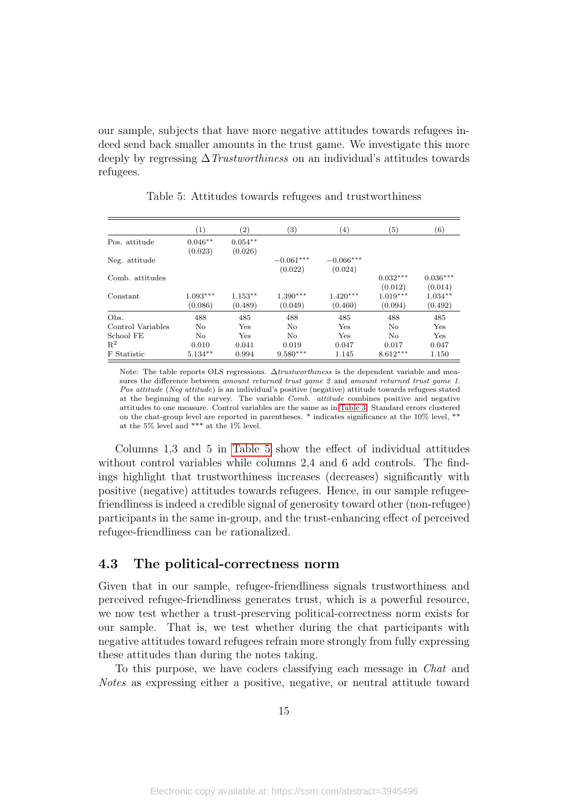our sample, subjects that have more negative attitudes towards refugees indeed send back smaller amounts in the trust game. We investigate this more deeply by regressing  $\Delta$ Trustworthiness on an individual's attitudes towards refugees.

<span id="page-15-0"></span>

|                   | (1)        | $\left( 2\right)$ | $\left( 3\right)$ | $\left( 4\right)$ | $\left( 5\right)$ | (6)        |
|-------------------|------------|-------------------|-------------------|-------------------|-------------------|------------|
| Pos. attitude     | $0.046**$  | $0.054***$        |                   |                   |                   |            |
|                   | (0.023)    | (0.026)           |                   |                   |                   |            |
| Neg. attitude     |            |                   | $-0.061***$       | $-0.066***$       |                   |            |
|                   |            |                   | (0.022)           | (0.024)           |                   |            |
| Comb. attitudes   |            |                   |                   |                   | $0.032***$        | $0.036***$ |
|                   |            |                   |                   |                   | (0.012)           | (0.014)    |
| Constant          | $1.093***$ | $1.153**$         | $1.390***$        | $1.420***$        | $1.019***$        | $1.034**$  |
|                   | (0.086)    | (0.489)           | (0.049)           | (0.460)           | (0.094)           | (0.492)    |
| Obs.              | 488        | 485               | 488               | 485               | 488               | 485        |
| Control Variables | No         | Yes               | No.               | Yes               | No                | Yes        |
| School FE         | No         | Yes               | No                | Yes               | No                | Yes        |
| $\mathbf{R}^2$    | 0.010      | 0.041             | 0.019             | 0.047             | 0.017             | 0.047      |
| F Statistic       | $5.134**$  | 0.994             | $9.580***$        | 1.145             | $8.612***$        | 1.150      |

Table 5: Attitudes towards refugees and trustworthiness

Note: The table reports OLS regressions.  $\Delta$ *trustworthiness* is the dependent variable and measures the difference between amount returned trust game 2 and amount returned trust game 1. Pos attitude (Neg attitude) is an individual's positive (negative) attitude towards refugees stated at the beginning of the survey. The variable Comb. attitude combines positive and negative attitudes to one measure. Control variables are the same as in [Table 3.](#page-12-1) Standard errors clustered on the chat-group level are reported in parentheses. \* indicates significance at the 10% level, \*\* at the 5% level and \*\*\* at the 1% level.

Columns 1,3 and 5 in [Table 5](#page-15-0) show the effect of individual attitudes without control variables while columns 2,4 and 6 add controls. The findings highlight that trustworthiness increases (decreases) significantly with positive (negative) attitudes towards refugees. Hence, in our sample refugeefriendliness is indeed a credible signal of generosity toward other (non-refugee) participants in the same in-group, and the trust-enhancing effect of perceived refugee-friendliness can be rationalized.

#### 4.3 The political-correctness norm

Given that in our sample, refugee-friendliness signals trustworthiness and perceived refugee-friendliness generates trust, which is a powerful resource, we now test whether a trust-preserving political-correctness norm exists for our sample. That is, we test whether during the chat participants with negative attitudes toward refugees refrain more strongly from fully expressing these attitudes than during the notes taking.

To this purpose, we have coders classifying each message in Chat and Notes as expressing either a positive, negative, or neutral attitude toward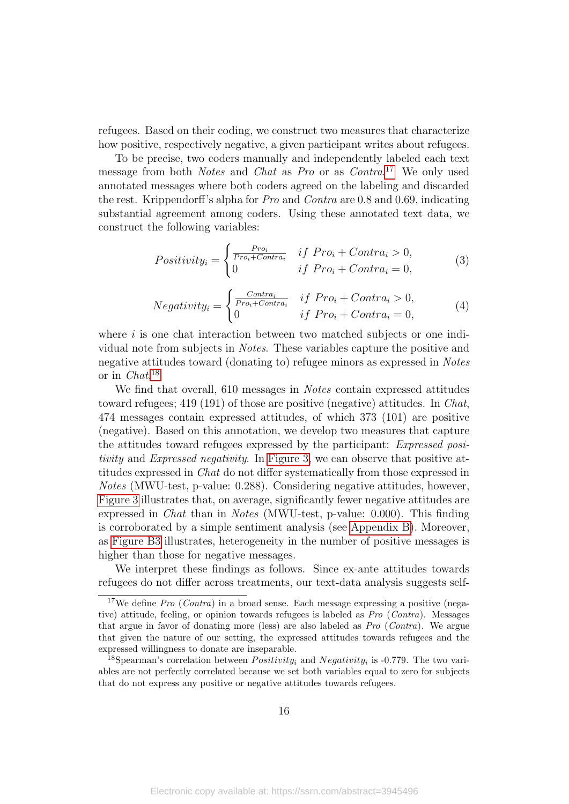refugees. Based on their coding, we construct two measures that characterize how positive, respectively negative, a given participant writes about refugees.

To be precise, two coders manually and independently labeled each text message from both Notes and Chat as Pro or as Contra.<sup>[17](#page-16-0)</sup> We only used annotated messages where both coders agreed on the labeling and discarded the rest. Krippendorff's alpha for Pro and Contra are 0.8 and 0.69, indicating substantial agreement among coders. Using these annotated text data, we construct the following variables:

$$
Positivity_i = \begin{cases} \frac{Pro_i}{Pro_i + Contra_i} & if \; Pro_i + Contra_i > 0, \\ 0 & if \; Pro_i + Contra_i = 0, \end{cases} \tag{3}
$$

$$
Negative_{ij} = \begin{cases} \frac{Contra_i}{Pro_i + Contra_i} & if \; Pro_i + Contra_i > 0, \\ 0 & if \; Pro_i + Contra_i = 0, \end{cases} \tag{4}
$$

where  $i$  is one chat interaction between two matched subjects or one individual note from subjects in Notes. These variables capture the positive and negative attitudes toward (donating to) refugee minors as expressed in Notes or in Chat. [18](#page-16-1)

We find that overall, 610 messages in *Notes* contain expressed attitudes toward refugees; 419 (191) of those are positive (negative) attitudes. In Chat, 474 messages contain expressed attitudes, of which 373 (101) are positive (negative). Based on this annotation, we develop two measures that capture the attitudes toward refugees expressed by the participant: Expressed positivity and Expressed negativity. In [Figure 3,](#page-17-0) we can observe that positive attitudes expressed in Chat do not differ systematically from those expressed in Notes (MWU-test, p-value: 0.288). Considering negative attitudes, however, [Figure 3](#page-17-0) illustrates that, on average, significantly fewer negative attitudes are expressed in Chat than in Notes (MWU-test, p-value: 0.000). This finding is corroborated by a simple sentiment analysis (see [Appendix B\)](#page-28-0). Moreover, as [Figure B3](#page-31-0) illustrates, heterogeneity in the number of positive messages is higher than those for negative messages.

We interpret these findings as follows. Since ex-ante attitudes towards refugees do not differ across treatments, our text-data analysis suggests self-

<span id="page-16-0"></span> $17$ We define Pro (Contra) in a broad sense. Each message expressing a positive (negative) attitude, feeling, or opinion towards refugees is labeled as Pro (Contra). Messages that argue in favor of donating more (less) are also labeled as Pro (Contra). We argue that given the nature of our setting, the expressed attitudes towards refugees and the expressed willingness to donate are inseparable.

<span id="page-16-1"></span><sup>&</sup>lt;sup>18</sup>Spearman's correlation between  $Positivity_i$  and  $Negativity_i$  is -0.779. The two variables are not perfectly correlated because we set both variables equal to zero for subjects that do not express any positive or negative attitudes towards refugees.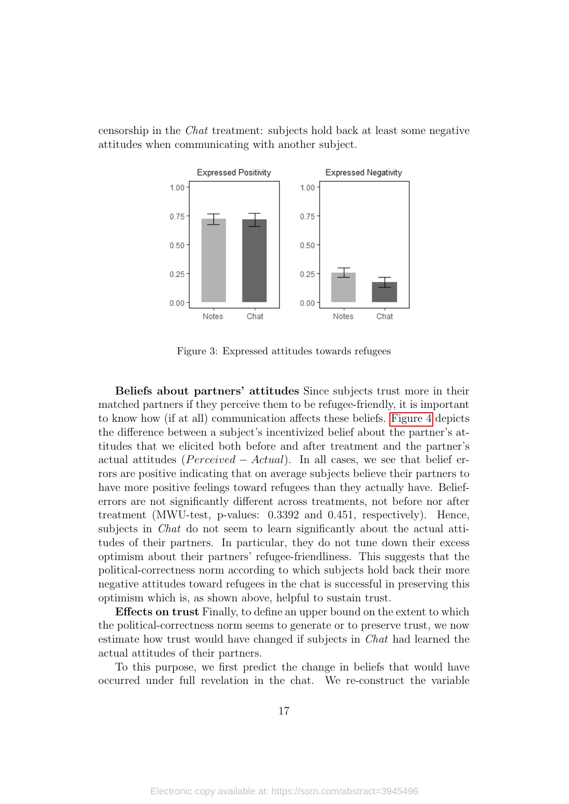<span id="page-17-0"></span>censorship in the Chat treatment: subjects hold back at least some negative attitudes when communicating with another subject.



Figure 3: Expressed attitudes towards refugees

Beliefs about partners' attitudes Since subjects trust more in their matched partners if they perceive them to be refugee-friendly, it is important to know how (if at all) communication affects these beliefs. [Figure 4](#page-18-0) depicts the difference between a subject's incentivized belief about the partner's attitudes that we elicited both before and after treatment and the partner's actual attitudes ( $Perceived - Actual$ ). In all cases, we see that belief errors are positive indicating that on average subjects believe their partners to have more positive feelings toward refugees than they actually have. Belieferrors are not significantly different across treatments, not before nor after treatment (MWU-test, p-values: 0.3392 and 0.451, respectively). Hence, subjects in *Chat* do not seem to learn significantly about the actual attitudes of their partners. In particular, they do not tune down their excess optimism about their partners' refugee-friendliness. This suggests that the political-correctness norm according to which subjects hold back their more negative attitudes toward refugees in the chat is successful in preserving this optimism which is, as shown above, helpful to sustain trust.

Effects on trust Finally, to define an upper bound on the extent to which the political-correctness norm seems to generate or to preserve trust, we now estimate how trust would have changed if subjects in Chat had learned the actual attitudes of their partners.

To this purpose, we first predict the change in beliefs that would have occurred under full revelation in the chat. We re-construct the variable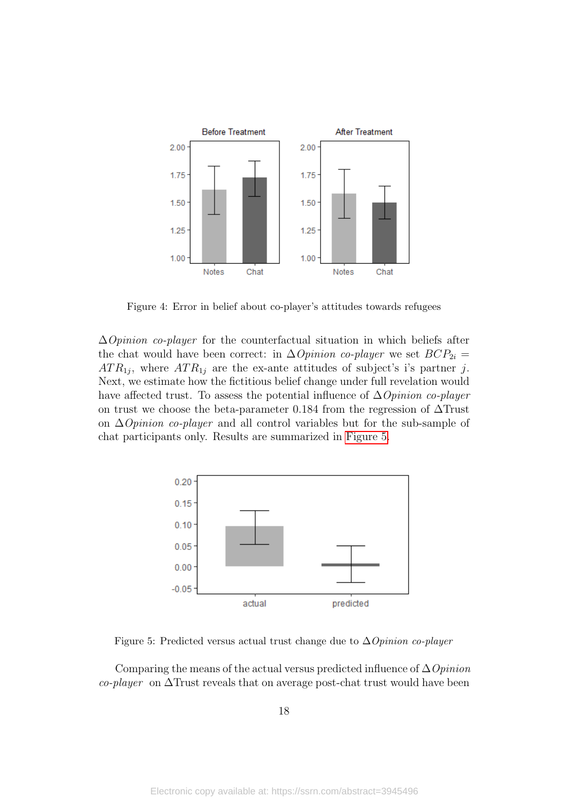<span id="page-18-0"></span>

Figure 4: Error in belief about co-player's attitudes towards refugees

 $\Delta$ *Opinion co-player* for the counterfactual situation in which beliefs after the chat would have been correct: in  $\Delta \textit{Opinion}$  co-player we set  $BCP_{2i} =$  $ATR_{1j}$ , where  $ATR_{1j}$  are the ex-ante attitudes of subject's i's partner j. Next, we estimate how the fictitious belief change under full revelation would have affected trust. To assess the potential influence of  $\Delta$ *Opinion co-player* on trust we choose the beta-parameter 0.184 from the regression of  $\Delta$ Trust on ∆Opinion co-player and all control variables but for the sub-sample of chat participants only. Results are summarized in [Figure 5.](#page-18-1)

<span id="page-18-1"></span>

Figure 5: Predicted versus actual trust change due to  $\Delta$ Opinion co-player

Comparing the means of the actual versus predicted influence of  $\Delta$ Opinion co-player on ∆Trust reveals that on average post-chat trust would have been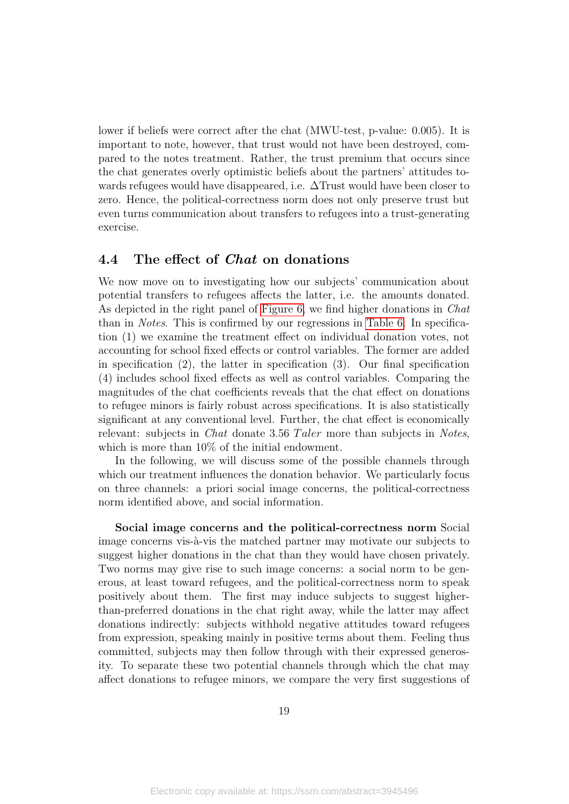lower if beliefs were correct after the chat (MWU-test, p-value: 0.005). It is important to note, however, that trust would not have been destroyed, compared to the notes treatment. Rather, the trust premium that occurs since the chat generates overly optimistic beliefs about the partners' attitudes towards refugees would have disappeared, i.e. ∆Trust would have been closer to zero. Hence, the political-correctness norm does not only preserve trust but even turns communication about transfers to refugees into a trust-generating exercise.

#### 4.4 The effect of Chat on donations

We now move on to investigating how our subjects' communication about potential transfers to refugees affects the latter, i.e. the amounts donated. As depicted in the right panel of [Figure 6,](#page-21-0) we find higher donations in Chat than in Notes. This is confirmed by our regressions in [Table 6.](#page-20-0) In specification (1) we examine the treatment effect on individual donation votes, not accounting for school fixed effects or control variables. The former are added in specification (2), the latter in specification (3). Our final specification (4) includes school fixed effects as well as control variables. Comparing the magnitudes of the chat coefficients reveals that the chat effect on donations to refugee minors is fairly robust across specifications. It is also statistically significant at any conventional level. Further, the chat effect is economically relevant: subjects in *Chat* donate 3.56 Taler more than subjects in *Notes*, which is more than  $10\%$  of the initial endowment.

In the following, we will discuss some of the possible channels through which our treatment influences the donation behavior. We particularly focus on three channels: a priori social image concerns, the political-correctness norm identified above, and social information.

Social image concerns and the political-correctness norm Social image concerns vis-à-vis the matched partner may motivate our subjects to suggest higher donations in the chat than they would have chosen privately. Two norms may give rise to such image concerns: a social norm to be generous, at least toward refugees, and the political-correctness norm to speak positively about them. The first may induce subjects to suggest higherthan-preferred donations in the chat right away, while the latter may affect donations indirectly: subjects withhold negative attitudes toward refugees from expression, speaking mainly in positive terms about them. Feeling thus committed, subjects may then follow through with their expressed generosity. To separate these two potential channels through which the chat may affect donations to refugee minors, we compare the very first suggestions of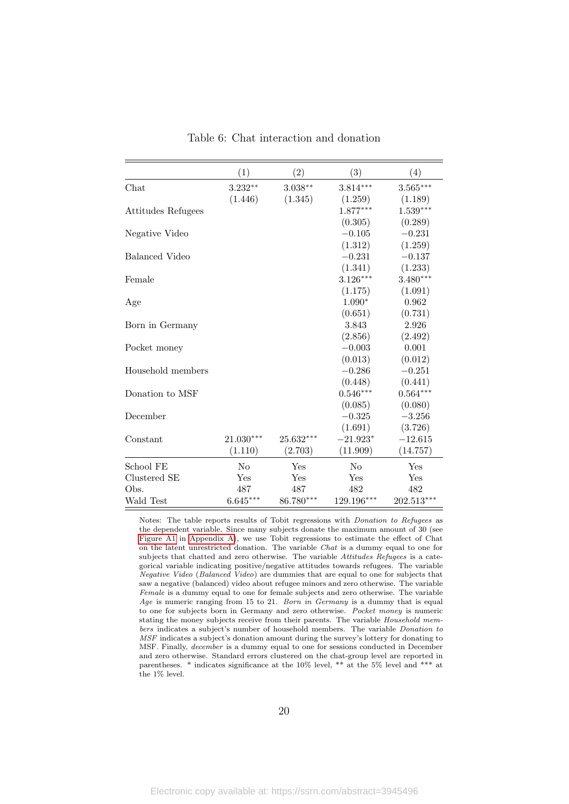<span id="page-20-0"></span>

|                    | (1)            | (2)       | (3)            | (4)        |
|--------------------|----------------|-----------|----------------|------------|
| Chat               | $3.232**$      | $3.038**$ | $3.814***$     | $3.565***$ |
|                    | (1.446)        | (1.345)   | (1.259)        | (1.189)    |
| Attitudes Refugees |                |           | $1.877***$     | $1.539***$ |
|                    |                |           | (0.305)        | (0.289)    |
| Negative Video     |                |           | $-0.105$       | $-0.231$   |
|                    |                |           | (1.312)        | (1.259)    |
| Balanced Video     |                |           | $-0.231$       | $-0.137$   |
|                    |                |           | (1.341)        | (1.233)    |
| Female             |                |           | $3.126***$     | $3.480***$ |
|                    |                |           | (1.175)        | (1.091)    |
| Age                |                |           | $1.090*$       | 0.962      |
|                    |                |           | (0.651)        | (0.731)    |
| Born in Germany    |                |           | 3.843          | 2.926      |
|                    |                |           | (2.856)        | (2.492)    |
| Pocket money       |                |           | $-0.003$       | 0.001      |
|                    |                |           | (0.013)        | (0.012)    |
| Household members  |                |           | $-0.286$       | $-0.251$   |
|                    |                |           | (0.448)        | (0.441)    |
| Donation to MSF    |                |           | $0.546***$     | $0.564***$ |
|                    |                |           | (0.085)        | (0.080)    |
| December           |                |           | $-0.325$       | $-3.256$   |
|                    |                |           | (1.691)        | (3.726)    |
| Constant           | 21.030***      | 25.632*** | $-21.923*$     | $-12.615$  |
|                    | (1.110)        | (2.703)   | (11.909)       | (14.757)   |
| School FE          | N <sub>o</sub> | Yes       | N <sub>o</sub> | Yes        |
| Clustered SE       | Yes            | Yes       | Yes            | Yes        |
| Obs.               | 487            | 487       | 482            | 482        |
| Wald Test          | $6.645***$     | 86.780*** | 129.196***     | 202.513*** |

Table 6: Chat interaction and donation

Notes: The table reports results of Tobit regressions with Donation to Refugees as the dependent variable. Since many subjects donate the maximum amount of 30 (see [Figure A1](#page-28-1) in [Appendix A\)](#page-28-2), we use Tobit regressions to estimate the effect of Chat on the latent unrestricted donation. The variable Chat is a dummy equal to one for subjects that chatted and zero otherwise. The variable Attitudes Refugees is a categorical variable indicating positive/negative attitudes towards refugees. The variable Negative Video (Balanced Video) are dummies that are equal to one for subjects that saw a negative (balanced) video about refugee minors and zero otherwise. The variable Female is a dummy equal to one for female subjects and zero otherwise. The variable Age is numeric ranging from 15 to 21. Born in Germany is a dummy that is equal to one for subjects born in Germany and zero otherwise. Pocket money is numeric stating the money subjects receive from their parents. The variable Household members indicates a subject's number of household members. The variable Donation to MSF indicates a subject's donation amount during the survey's lottery for donating to MSF. Finally, december is a dummy equal to one for sessions conducted in December and zero otherwise. Standard errors clustered on the chat-group level are reported in parentheses. \* indicates significance at the 10% level, \*\* at the 5% level and \*\*\* at the  $1\%$  level.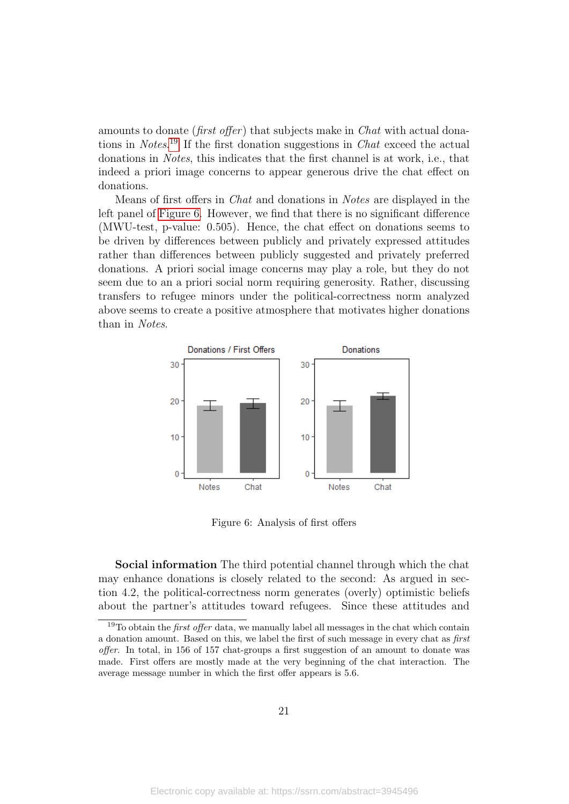amounts to donate (*first offer*) that subjects make in *Chat* with actual dona-tions in Notes.<sup>[19](#page-21-1)</sup> If the first donation suggestions in *Chat* exceed the actual donations in Notes, this indicates that the first channel is at work, i.e., that indeed a priori image concerns to appear generous drive the chat effect on donations.

Means of first offers in Chat and donations in Notes are displayed in the left panel of [Figure 6.](#page-21-0) However, we find that there is no significant difference (MWU-test, p-value: 0.505). Hence, the chat effect on donations seems to be driven by differences between publicly and privately expressed attitudes rather than differences between publicly suggested and privately preferred donations. A priori social image concerns may play a role, but they do not seem due to an a priori social norm requiring generosity. Rather, discussing transfers to refugee minors under the political-correctness norm analyzed above seems to create a positive atmosphere that motivates higher donations than in Notes.

<span id="page-21-0"></span>

Figure 6: Analysis of first offers

Social information The third potential channel through which the chat may enhance donations is closely related to the second: As argued in section 4.2, the political-correctness norm generates (overly) optimistic beliefs about the partner's attitudes toward refugees. Since these attitudes and

<span id="page-21-1"></span> $19$ To obtain the *first offer* data, we manually label all messages in the chat which contain a donation amount. Based on this, we label the first of such message in every chat as first offer. In total, in 156 of 157 chat-groups a first suggestion of an amount to donate was made. First offers are mostly made at the very beginning of the chat interaction. The average message number in which the first offer appears is 5.6.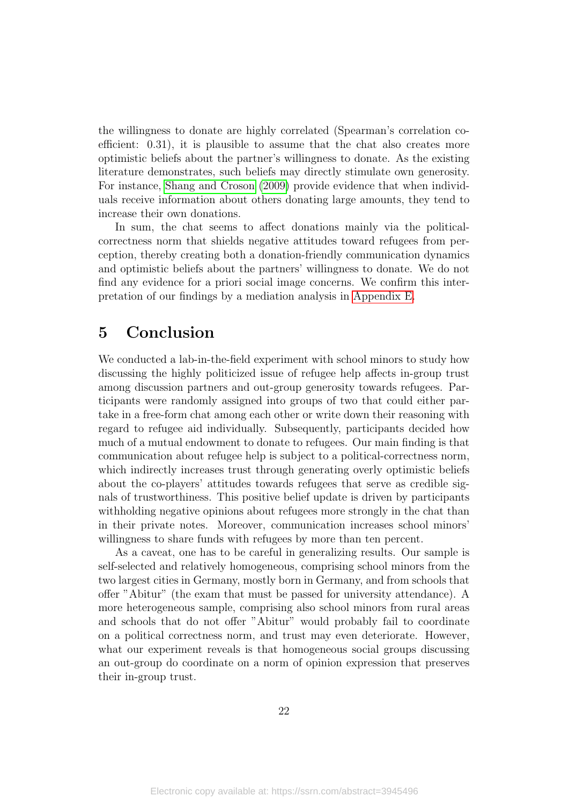the willingness to donate are highly correlated (Spearman's correlation coefficient: 0.31), it is plausible to assume that the chat also creates more optimistic beliefs about the partner's willingness to donate. As the existing literature demonstrates, such beliefs may directly stimulate own generosity. For instance, [Shang and Croson](#page-27-3) [\(2009\)](#page-27-3) provide evidence that when individuals receive information about others donating large amounts, they tend to increase their own donations.

In sum, the chat seems to affect donations mainly via the politicalcorrectness norm that shields negative attitudes toward refugees from perception, thereby creating both a donation-friendly communication dynamics and optimistic beliefs about the partners' willingness to donate. We do not find any evidence for a priori social image concerns. We confirm this interpretation of our findings by a mediation analysis in [Appendix E.](#page-35-1)

## <span id="page-22-0"></span>5 Conclusion

We conducted a lab-in-the-field experiment with school minors to study how discussing the highly politicized issue of refugee help affects in-group trust among discussion partners and out-group generosity towards refugees. Participants were randomly assigned into groups of two that could either partake in a free-form chat among each other or write down their reasoning with regard to refugee aid individually. Subsequently, participants decided how much of a mutual endowment to donate to refugees. Our main finding is that communication about refugee help is subject to a political-correctness norm, which indirectly increases trust through generating overly optimistic beliefs about the co-players' attitudes towards refugees that serve as credible signals of trustworthiness. This positive belief update is driven by participants withholding negative opinions about refugees more strongly in the chat than in their private notes. Moreover, communication increases school minors' willingness to share funds with refugees by more than ten percent.

As a caveat, one has to be careful in generalizing results. Our sample is self-selected and relatively homogeneous, comprising school minors from the two largest cities in Germany, mostly born in Germany, and from schools that offer "Abitur" (the exam that must be passed for university attendance). A more heterogeneous sample, comprising also school minors from rural areas and schools that do not offer "Abitur" would probably fail to coordinate on a political correctness norm, and trust may even deteriorate. However, what our experiment reveals is that homogeneous social groups discussing an out-group do coordinate on a norm of opinion expression that preserves their in-group trust.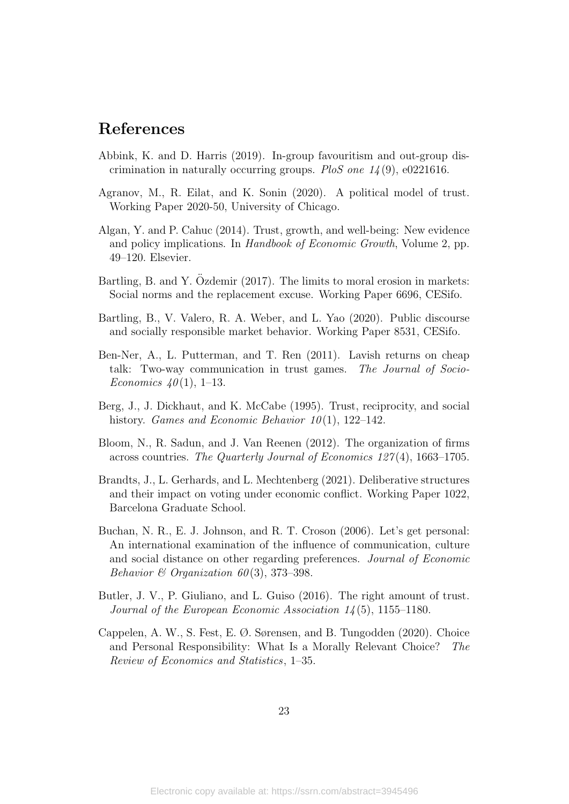### References

- <span id="page-23-0"></span>Abbink, K. and D. Harris (2019). In-group favouritism and out-group discrimination in naturally occurring groups. PloS one  $14(9)$ , e0221616.
- <span id="page-23-2"></span>Agranov, M., R. Eilat, and K. Sonin (2020). A political model of trust. Working Paper 2020-50, University of Chicago.
- <span id="page-23-5"></span>Algan, Y. and P. Cahuc (2014). Trust, growth, and well-being: New evidence and policy implications. In *Handbook of Economic Growth*, Volume 2, pp. 49–120. Elsevier.
- <span id="page-23-6"></span>Bartling, B. and Y. Ozdemir (2017). The limits to moral erosion in markets: Social norms and the replacement excuse. Working Paper 6696, CESifo.
- <span id="page-23-7"></span>Bartling, B., V. Valero, R. A. Weber, and L. Yao (2020). Public discourse and socially responsible market behavior. Working Paper 8531, CESifo.
- <span id="page-23-11"></span>Ben-Ner, A., L. Putterman, and T. Ren (2011). Lavish returns on cheap talk: Two-way communication in trust games. The Journal of Socio-Economics  $40(1)$ , 1–13.
- <span id="page-23-8"></span>Berg, J., J. Dickhaut, and K. McCabe (1995). Trust, reciprocity, and social history. *Games and Economic Behavior*  $10(1)$ , 122–142.
- <span id="page-23-3"></span>Bloom, N., R. Sadun, and J. Van Reenen (2012). The organization of firms across countries. The Quarterly Journal of Economics 127 (4), 1663–1705.
- <span id="page-23-9"></span>Brandts, J., L. Gerhards, and L. Mechtenberg (2021). Deliberative structures and their impact on voting under economic conflict. Working Paper 1022, Barcelona Graduate School.
- <span id="page-23-10"></span>Buchan, N. R., E. J. Johnson, and R. T. Croson (2006). Let's get personal: An international examination of the influence of communication, culture and social distance on other regarding preferences. Journal of Economic Behavior & Organization 60(3), 373-398.
- <span id="page-23-4"></span>Butler, J. V., P. Giuliano, and L. Guiso (2016). The right amount of trust. Journal of the European Economic Association  $14(5)$ , 1155–1180.
- <span id="page-23-1"></span>Cappelen, A. W., S. Fest, E. Ø. Sørensen, and B. Tungodden (2020). Choice and Personal Responsibility: What Is a Morally Relevant Choice? The Review of Economics and Statistics, 1–35.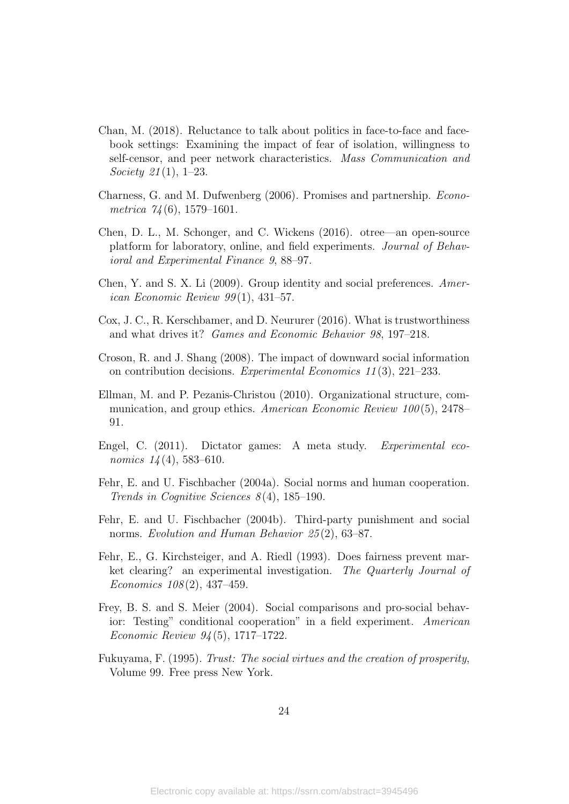- <span id="page-24-6"></span>Chan, M. (2018). Reluctance to talk about politics in face-to-face and facebook settings: Examining the impact of fear of isolation, willingness to self-censor, and peer network characteristics. Mass Communication and Society 21(1), 1–23.
- <span id="page-24-12"></span>Charness, G. and M. Dufwenberg (2006). Promises and partnership. Econometrica  $74(6)$ , 1579–1601.
- <span id="page-24-11"></span>Chen, D. L., M. Schonger, and C. Wickens (2016). otree—an open-source platform for laboratory, online, and field experiments. Journal of Behavioral and Experimental Finance 9, 88–97.
- <span id="page-24-0"></span>Chen, Y. and S. X. Li (2009). Group identity and social preferences. American Economic Review  $99(1)$ , 431–57.
- <span id="page-24-2"></span>Cox, J. C., R. Kerschbamer, and D. Neururer (2016). What is trustworthiness and what drives it? Games and Economic Behavior 98, 197–218.
- <span id="page-24-10"></span>Croson, R. and J. Shang (2008). The impact of downward social information on contribution decisions. Experimental Economics 11 (3), 221–233.
- <span id="page-24-8"></span>Ellman, M. and P. Pezanis-Christou (2010). Organizational structure, communication, and group ethics. American Economic Review 100(5), 2478– 91.
- <span id="page-24-1"></span>Engel, C. (2011). Dictator games: A meta study. Experimental economics  $14(4)$ , 583-610.
- <span id="page-24-4"></span>Fehr, E. and U. Fischbacher (2004a). Social norms and human cooperation. Trends in Cognitive Sciences  $8(4)$ , 185-190.
- <span id="page-24-5"></span>Fehr, E. and U. Fischbacher (2004b). Third-party punishment and social norms. Evolution and Human Behavior 25(2), 63-87.
- <span id="page-24-7"></span>Fehr, E., G. Kirchsteiger, and A. Riedl (1993). Does fairness prevent market clearing? an experimental investigation. The Quarterly Journal of Economics 108 (2), 437–459.
- <span id="page-24-9"></span>Frey, B. S. and S. Meier (2004). Social comparisons and pro-social behavior: Testing" conditional cooperation" in a field experiment. American Economic Review 94 (5), 1717–1722.
- <span id="page-24-3"></span>Fukuyama, F. (1995). Trust: The social virtues and the creation of prosperity, Volume 99. Free press New York.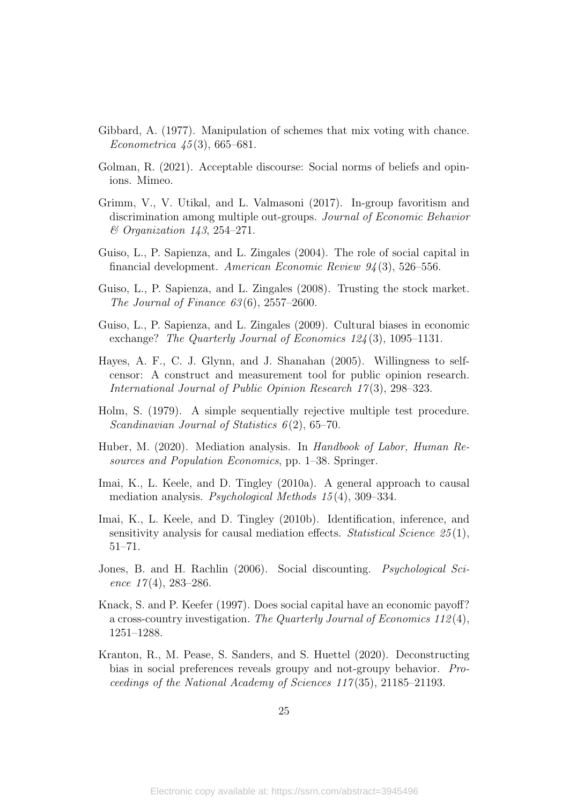- <span id="page-25-9"></span>Gibbard, A. (1977). Manipulation of schemes that mix voting with chance. Econometrica  $45(3)$ , 665–681.
- <span id="page-25-7"></span>Golman, R. (2021). Acceptable discourse: Social norms of beliefs and opinions. Mimeo.
- <span id="page-25-1"></span>Grimm, V., V. Utikal, and L. Valmasoni (2017). In-group favoritism and discrimination among multiple out-groups. Journal of Economic Behavior & Organization 143, 254–271.
- <span id="page-25-3"></span>Guiso, L., P. Sapienza, and L. Zingales (2004). The role of social capital in financial development. American Economic Review 94 (3), 526–556.
- <span id="page-25-4"></span>Guiso, L., P. Sapienza, and L. Zingales (2008). Trusting the stock market. The Journal of Finance  $63(6)$ ,  $2557-2600$ .
- <span id="page-25-5"></span>Guiso, L., P. Sapienza, and L. Zingales (2009). Cultural biases in economic exchange? The Quarterly Journal of Economics 124(3), 1095-1131.
- <span id="page-25-8"></span>Hayes, A. F., C. J. Glynn, and J. Shanahan (2005). Willingness to selfcensor: A construct and measurement tool for public opinion research. International Journal of Public Opinion Research 17(3), 298–323.
- <span id="page-25-10"></span>Holm, S. (1979). A simple sequentially rejective multiple test procedure. Scandinavian Journal of Statistics  $6(2)$ , 65–70.
- <span id="page-25-11"></span>Huber, M. (2020). Mediation analysis. In Handbook of Labor, Human Resources and Population Economics, pp. 1–38. Springer.
- <span id="page-25-12"></span>Imai, K., L. Keele, and D. Tingley (2010a). A general approach to causal mediation analysis. Psychological Methods 15 (4), 309–334.
- <span id="page-25-13"></span>Imai, K., L. Keele, and D. Tingley (2010b). Identification, inference, and sensitivity analysis for causal mediation effects. Statistical Science  $25(1)$ , 51–71.
- <span id="page-25-2"></span>Jones, B. and H. Rachlin (2006). Social discounting. *Psychological Sci*ence  $17(4)$ , 283-286.
- <span id="page-25-6"></span>Knack, S. and P. Keefer (1997). Does social capital have an economic payoff? a cross-country investigation. The Quarterly Journal of Economics 112 (4), 1251–1288.
- <span id="page-25-0"></span>Kranton, R., M. Pease, S. Sanders, and S. Huettel (2020). Deconstructing bias in social preferences reveals groupy and not-groupy behavior. Proceedings of the National Academy of Sciences 117 (35), 21185–21193.

25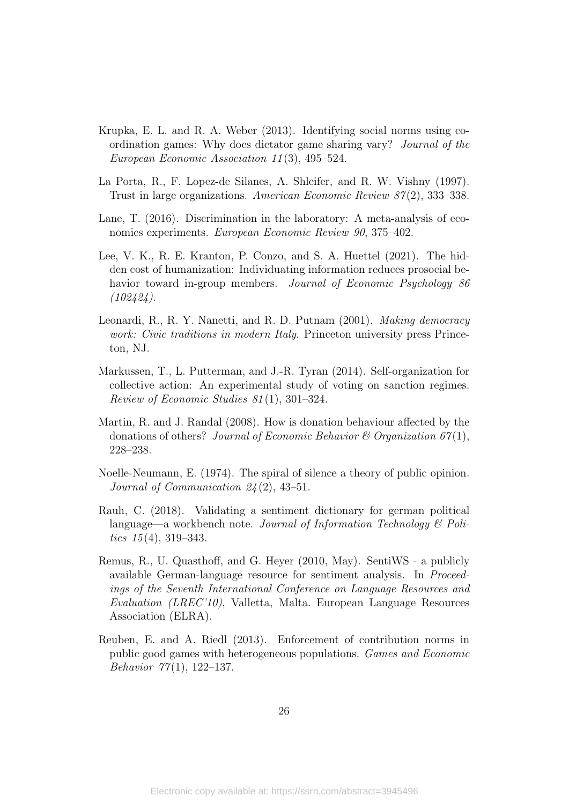- <span id="page-26-4"></span>Krupka, E. L. and R. A. Weber (2013). Identifying social norms using coordination games: Why does dictator game sharing vary? Journal of the European Economic Association 11 (3), 495–524.
- <span id="page-26-2"></span>La Porta, R., F. Lopez-de Silanes, A. Shleifer, and R. W. Vishny (1997). Trust in large organizations. American Economic Review  $87(2)$ , 333–338.
- <span id="page-26-0"></span>Lane, T. (2016). Discrimination in the laboratory: A meta-analysis of economics experiments. *European Economic Review 90*, 375–402.
- <span id="page-26-1"></span>Lee, V. K., R. E. Kranton, P. Conzo, and S. A. Huettel (2021). The hidden cost of humanization: Individuating information reduces prosocial behavior toward in-group members. Journal of Economic Psychology 86  $(102424)$ .
- <span id="page-26-3"></span>Leonardi, R., R. Y. Nanetti, and R. D. Putnam (2001). Making democracy work: Civic traditions in modern Italy. Princeton university press Princeton, NJ.
- <span id="page-26-6"></span>Markussen, T., L. Putterman, and J.-R. Tyran (2014). Self-organization for collective action: An experimental study of voting on sanction regimes. Review of Economic Studies 81 (1), 301–324.
- <span id="page-26-8"></span>Martin, R. and J. Randal (2008). How is donation behaviour affected by the donations of others? Journal of Economic Behavior  $\mathcal C$  Organization 67(1), 228–238.
- <span id="page-26-7"></span>Noelle-Neumann, E. (1974). The spiral of silence a theory of public opinion. Journal of Communication 24 (2), 43–51.
- <span id="page-26-9"></span>Rauh, C. (2018). Validating a sentiment dictionary for german political language—a workbench note. Journal of Information Technology  $\mathcal B$  Politics  $15(4)$ , 319–343.
- <span id="page-26-10"></span>Remus, R., U. Quasthoff, and G. Heyer (2010, May). SentiWS - a publicly available German-language resource for sentiment analysis. In Proceedings of the Seventh International Conference on Language Resources and Evaluation (LREC'10), Valletta, Malta. European Language Resources Association (ELRA).
- <span id="page-26-5"></span>Reuben, E. and A. Riedl (2013). Enforcement of contribution norms in public good games with heterogeneous populations. Games and Economic Behavior  $77(1)$ , 122-137.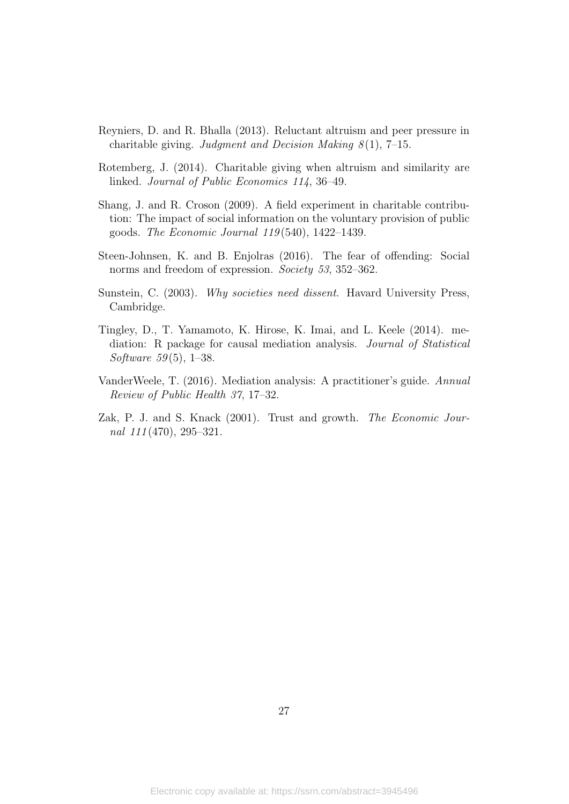- <span id="page-27-5"></span>Reyniers, D. and R. Bhalla (2013). Reluctant altruism and peer pressure in charitable giving. Judgment and Decision Making  $8(1)$ , 7–15.
- <span id="page-27-4"></span>Rotemberg, J. (2014). Charitable giving when altruism and similarity are linked. Journal of Public Economics 114, 36–49.
- <span id="page-27-3"></span>Shang, J. and R. Croson (2009). A field experiment in charitable contribution: The impact of social information on the voluntary provision of public goods. The Economic Journal 119 (540), 1422–1439.
- <span id="page-27-1"></span>Steen-Johnsen, K. and B. Enjolras (2016). The fear of offending: Social norms and freedom of expression. Society 53, 352–362.
- <span id="page-27-2"></span>Sunstein, C. (2003). Why societies need dissent. Havard University Press, Cambridge.
- <span id="page-27-7"></span>Tingley, D., T. Yamamoto, K. Hirose, K. Imai, and L. Keele (2014). mediation: R package for causal mediation analysis. Journal of Statistical Software  $59(5)$ , 1–38.
- <span id="page-27-6"></span>VanderWeele, T. (2016). Mediation analysis: A practitioner's guide. Annual Review of Public Health 37, 17–32.
- <span id="page-27-0"></span>Zak, P. J. and S. Knack (2001). Trust and growth. The Economic Journal  $111(470)$ , 295-321.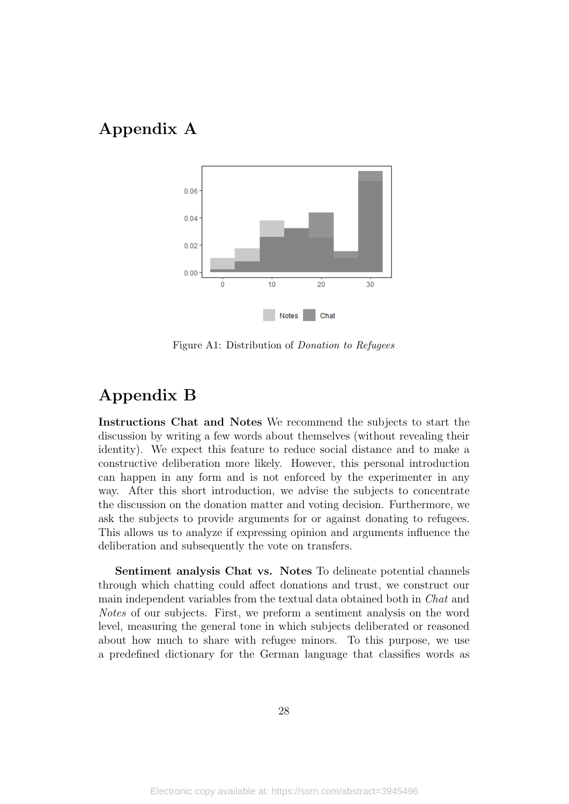# <span id="page-28-2"></span><span id="page-28-1"></span>Appendix A



Figure A1: Distribution of Donation to Refugees

### <span id="page-28-0"></span>Appendix B

Instructions Chat and Notes We recommend the subjects to start the discussion by writing a few words about themselves (without revealing their identity). We expect this feature to reduce social distance and to make a constructive deliberation more likely. However, this personal introduction can happen in any form and is not enforced by the experimenter in any way. After this short introduction, we advise the subjects to concentrate the discussion on the donation matter and voting decision. Furthermore, we ask the subjects to provide arguments for or against donating to refugees. This allows us to analyze if expressing opinion and arguments influence the deliberation and subsequently the vote on transfers.

Sentiment analysis Chat vs. Notes To delineate potential channels through which chatting could affect donations and trust, we construct our main independent variables from the textual data obtained both in Chat and Notes of our subjects. First, we preform a sentiment analysis on the word level, measuring the general tone in which subjects deliberated or reasoned about how much to share with refugee minors. To this purpose, we use a predefined dictionary for the German language that classifies words as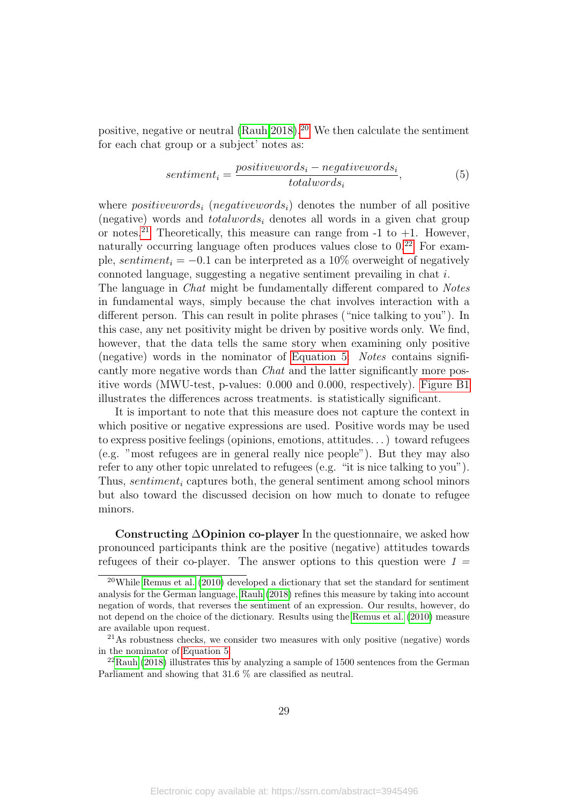positive, negative or neutral [\(Rauh 2018\)](#page-26-9).[20](#page-29-0) We then calculate the sentiment for each chat group or a subject' notes as:

<span id="page-29-3"></span>
$$
sentiment_i = \frac{positivewords_i - negativewords_i}{totalwords_i}, \tag{5}
$$

where *positivewords<sub>i</sub>* (*negativewords<sub>i</sub>*) denotes the number of all positive (negative) words and *totalwords<sub>i</sub>* denotes all words in a given chat group or notes.<sup>[21](#page-29-1)</sup> Theoretically, this measure can range from  $-1$  to  $+1$ . However, naturally occurring language often produces values close to  $0.22$  $0.22$  For example, sentiment<sub>i</sub> =  $-0.1$  can be interpreted as a 10% overweight of negatively connoted language, suggesting a negative sentiment prevailing in chat i.

The language in Chat might be fundamentally different compared to Notes in fundamental ways, simply because the chat involves interaction with a different person. This can result in polite phrases ("nice talking to you"). In this case, any net positivity might be driven by positive words only. We find, however, that the data tells the same story when examining only positive (negative) words in the nominator of [Equation 5:](#page-29-3) Notes contains significantly more negative words than *Chat* and the latter significantly more positive words (MWU-test, p-values: 0.000 and 0.000, respectively). [Figure B1](#page-30-0) illustrates the differences across treatments. is statistically significant.

It is important to note that this measure does not capture the context in which positive or negative expressions are used. Positive words may be used to express positive feelings (opinions, emotions, attitudes. . . ) toward refugees (e.g. "most refugees are in general really nice people"). But they may also refer to any other topic unrelated to refugees (e.g. "it is nice talking to you"). Thus, sentiment<sub>i</sub> captures both, the general sentiment among school minors but also toward the discussed decision on how much to donate to refugee minors.

Constructing ∆Opinion co-player In the questionnaire, we asked how pronounced participants think are the positive (negative) attitudes towards refugees of their co-player. The answer options to this question were  $1 =$ 

<span id="page-29-0"></span><sup>&</sup>lt;sup>20</sup>While [Remus et al.](#page-26-10)  $(2010)$  developed a dictionary that set the standard for sentiment analysis for the German language, [Rauh](#page-26-9) [\(2018\)](#page-26-9) refines this measure by taking into account negation of words, that reverses the sentiment of an expression. Our results, however, do not depend on the choice of the dictionary. Results using the [Remus et al.](#page-26-10) [\(2010\)](#page-26-10) measure are available upon request.

<span id="page-29-1"></span><sup>21</sup>As robustness checks, we consider two measures with only positive (negative) words in the nominator of [Equation 5.](#page-29-3)

<span id="page-29-2"></span><sup>22</sup>[Rauh](#page-26-9) [\(2018\)](#page-26-9) illustrates this by analyzing a sample of 1500 sentences from the German Parliament and showing that 31.6 % are classified as neutral.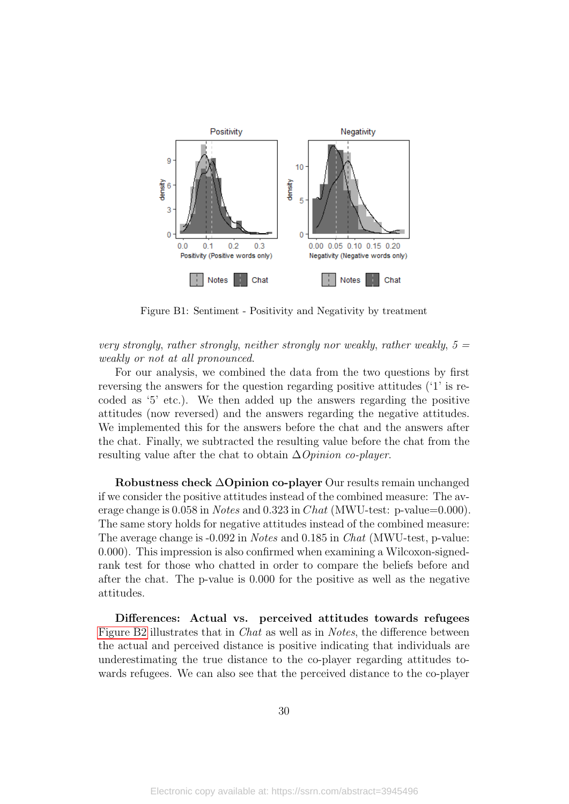<span id="page-30-0"></span>

Figure B1: Sentiment - Positivity and Negativity by treatment

very strongly, rather strongly, neither strongly nor weakly, rather weakly,  $5 =$ weakly or not at all pronounced.

For our analysis, we combined the data from the two questions by first reversing the answers for the question regarding positive attitudes ('1' is recoded as '5' etc.). We then added up the answers regarding the positive attitudes (now reversed) and the answers regarding the negative attitudes. We implemented this for the answers before the chat and the answers after the chat. Finally, we subtracted the resulting value before the chat from the resulting value after the chat to obtain  $\Delta$ *Opinion co-player.* 

Robustness check ∆Opinion co-player Our results remain unchanged if we consider the positive attitudes instead of the combined measure: The average change is  $0.058$  in *Notes* and  $0.323$  in *Chat* (MWU-test: p-value=0.000). The same story holds for negative attitudes instead of the combined measure: The average change is -0.092 in Notes and 0.185 in Chat (MWU-test, p-value: 0.000). This impression is also confirmed when examining a Wilcoxon-signedrank test for those who chatted in order to compare the beliefs before and after the chat. The p-value is 0.000 for the positive as well as the negative attitudes.

Differences: Actual vs. perceived attitudes towards refugees [Figure B2](#page-31-1) illustrates that in Chat as well as in Notes, the difference between the actual and perceived distance is positive indicating that individuals are underestimating the true distance to the co-player regarding attitudes towards refugees. We can also see that the perceived distance to the co-player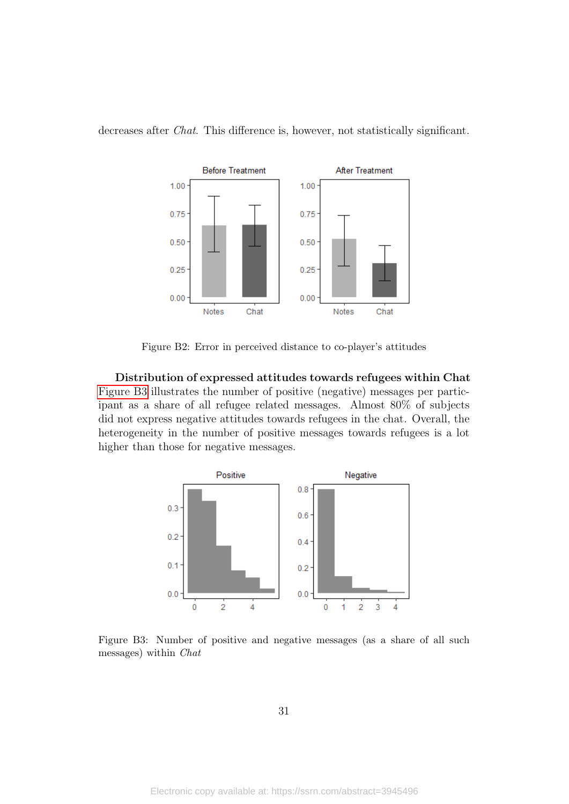

<span id="page-31-1"></span>decreases after *Chat*. This difference is, however, not statistically significant.

Figure B2: Error in perceived distance to co-player's attitudes

Distribution of expressed attitudes towards refugees within Chat [Figure B3](#page-31-0) illustrates the number of positive (negative) messages per participant as a share of all refugee related messages. Almost 80% of subjects did not express negative attitudes towards refugees in the chat. Overall, the heterogeneity in the number of positive messages towards refugees is a lot higher than those for negative messages.

<span id="page-31-0"></span>

Figure B3: Number of positive and negative messages (as a share of all such messages) within Chat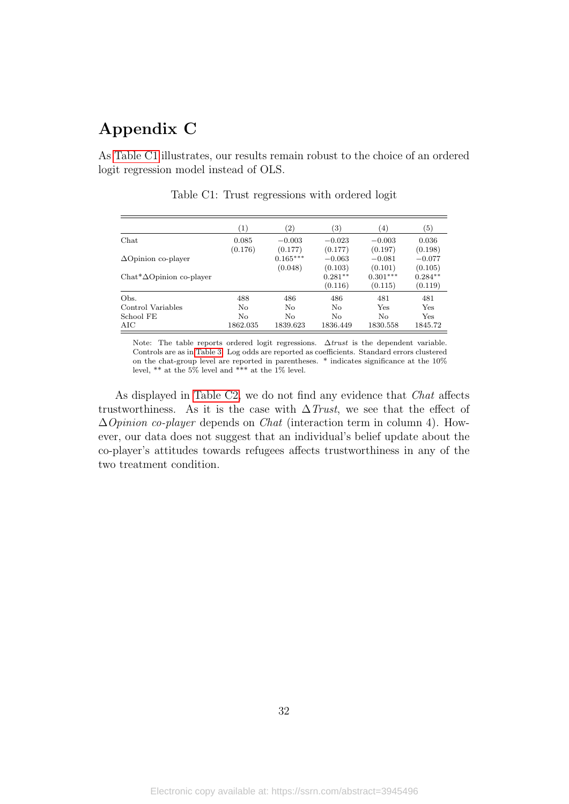# Appendix C

<span id="page-32-0"></span>As [Table C1](#page-32-0) illustrates, our results remain robust to the choice of an ordered logit regression model instead of OLS.

|                                   | $\left( 1\right)$ | $\left( 2\right)$     | $\left( 3\right)$    | (4)                   | $\left( 5\right)$    |
|-----------------------------------|-------------------|-----------------------|----------------------|-----------------------|----------------------|
| Chat                              | 0.085             | $-0.003$              | $-0.023$             | $-0.003$              | 0.036                |
| $\Delta$ Opinion co-player        | (0.176)           | (0.177)<br>$0.165***$ | (0.177)<br>$-0.063$  | (0.197)<br>$-0.081$   | (0.198)<br>$-0.077$  |
| $Chat^*{\Delta}Opinion$ co-player |                   | (0.048)               | (0.103)<br>$0.281**$ | (0.101)<br>$0.301***$ | (0.105)<br>$0.284**$ |
|                                   |                   |                       | (0.116)              | (0.115)               | (0.119)              |
| Obs.                              | 488               | 486                   | 486                  | 481                   | 481                  |
| Control Variables                 | No                | No                    | No                   | Yes                   | Yes                  |
| School FE                         | No                | N <sub>0</sub>        | No                   | No                    | Yes                  |
| AIC                               | 1862.035          | 1839.623              | 1836.449             | 1830.558              | 1845.72              |

Table C1: Trust regressions with ordered logit

Note: The table reports ordered logit regressions.  $\Delta trust$  is the dependent variable. Controls are as in [Table 3.](#page-12-1) Log odds are reported as coefficients. Standard errors clustered on the chat-group level are reported in parentheses. \* indicates significance at the 10% level, \*\* at the 5% level and \*\*\* at the 1% level.

As displayed in [Table C2,](#page-33-1) we do not find any evidence that *Chat* affects trustworthiness. As it is the case with  $\Delta$ Trust, we see that the effect of  $\Delta$ *Opinion co-player* depends on *Chat* (interaction term in column 4). However, our data does not suggest that an individual's belief update about the co-player's attitudes towards refugees affects trustworthiness in any of the two treatment condition.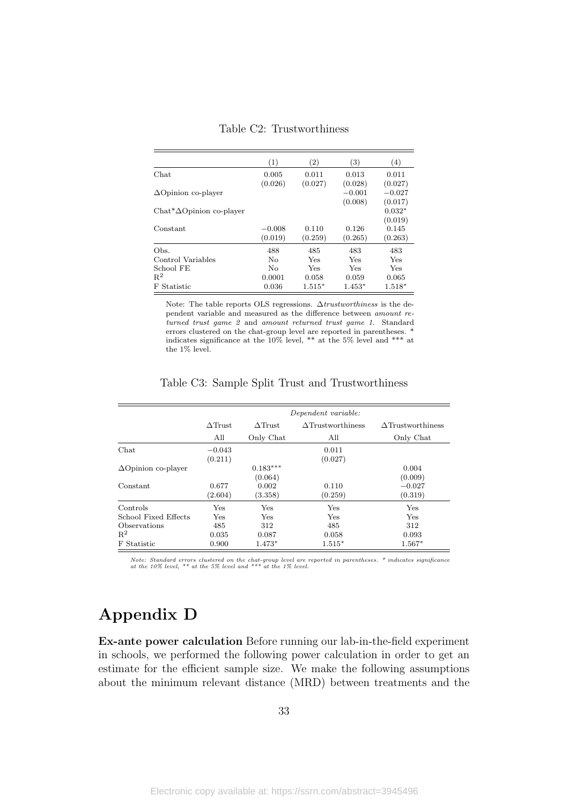<span id="page-33-1"></span>

|                                   | (1)      | (2)      | $\left( 3\right)$ | $\left( 4\right)$ |
|-----------------------------------|----------|----------|-------------------|-------------------|
| Chat                              | 0.005    | 0.011    | 0.013             | 0.011             |
|                                   | (0.026)  | (0.027)  | (0.028)           | (0.027)           |
| $\Delta$ Opinion co-player        |          |          | $-0.001$          | $-0.027$          |
|                                   |          |          | (0.008)           | (0.017)           |
| $Chat^* \Delta$ Opinion co-player |          |          |                   | $0.032*$          |
|                                   |          |          |                   | (0.019)           |
| Constant                          | $-0.008$ | 0.110    | 0.126             | 0.145             |
|                                   | (0.019)  | (0.259)  | (0.265)           | (0.263)           |
| Obs.                              | 488      | 485      | 483               | 483               |
| Control Variables                 | No       | Yes      | Yes               | Yes               |
| School FE                         | No       | Yes      | Yes               | Yes               |
| $R^2$                             | 0.0001   | 0.058    | 0.059             | 0.065             |
| <b>Statistic</b><br>F             | 0.036    | $1.515*$ | $1.453*$          | $1.518*$          |

Table C2: Trustworthiness

Note: The table reports OLS regressions. ∆trustworthiness is the dependent variable and measured as the difference between amount returned trust game 2 and amount returned trust game 1. Standard errors clustered on the chat-group level are reported in parentheses.  $\dot{ }$ indicates significance at the 10% level, \*\* at the 5% level and \*\*\* at the 1% level.

|                            |                |                | Dependent variable:      |                          |
|----------------------------|----------------|----------------|--------------------------|--------------------------|
|                            | $\Delta$ Trust | $\Delta$ Trust | $\Delta$ Trustworthiness | $\Delta$ Trustworthiness |
|                            | All            | Only Chat      | All                      | Only Chat                |
| Chat                       | $-0.043$       |                | 0.011                    |                          |
|                            | (0.211)        |                | (0.027)                  |                          |
| $\Delta$ Opinion co-player |                | $0.183***$     |                          | 0.004                    |
|                            |                | (0.064)        |                          | (0.009)                  |
| Constant                   | 0.677          | 0.002          | 0.110                    | $-0.027$                 |
|                            | (2.604)        | (3.358)        | (0.259)                  | (0.319)                  |
| Controls                   | Yes            | Yes            | Yes                      | Yes                      |
| School Fixed Effects       | Yes            | Yes            | Yes                      | Yes                      |
| Observations               | 485            | 312            | 485                      | 312                      |
| $R^2$                      | 0.035          | 0.087          | 0.058                    | 0.093                    |
| F Statistic                | 0.900          | 1.473*         | $1.515*$                 | $1.567*$                 |

Table C3: Sample Split Trust and Trustworthiness

Note: Standard errors clustered on the chat-group level are reported in parentheses. \* indicates significance at the 10% level, \*\* at the 5% level and \*\*\* at the 1% level.

# <span id="page-33-0"></span>Appendix D

Ex-ante power calculation Before running our lab-in-the-field experiment in schools, we performed the following power calculation in order to get an estimate for the efficient sample size. We make the following assumptions about the minimum relevant distance (MRD) between treatments and the

33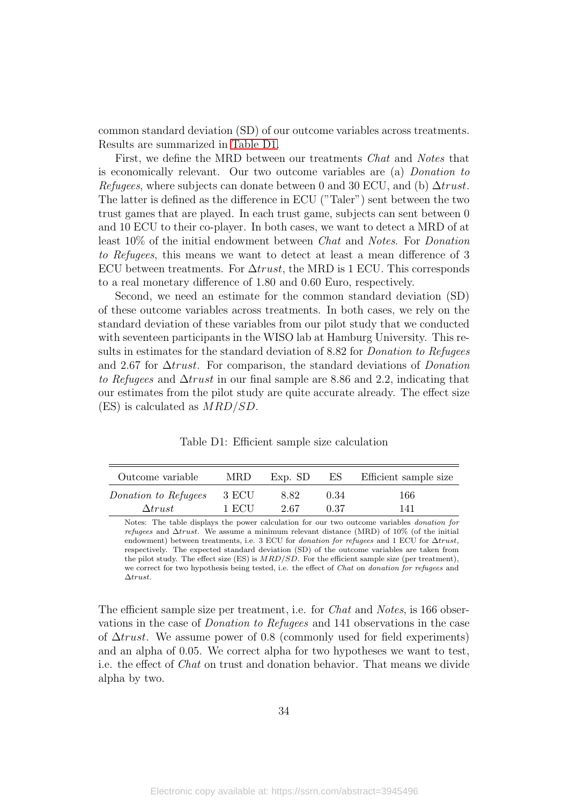common standard deviation (SD) of our outcome variables across treatments. Results are summarized in [Table D1.](#page-34-0)

First, we define the MRD between our treatments Chat and Notes that is economically relevant. Our two outcome variables are (a) Donation to Refugees, where subjects can donate between 0 and 30 ECU, and (b)  $\Delta trust$ . The latter is defined as the difference in ECU ("Taler") sent between the two trust games that are played. In each trust game, subjects can sent between 0 and 10 ECU to their co-player. In both cases, we want to detect a MRD of at least 10% of the initial endowment between Chat and Notes. For Donation to Refugees, this means we want to detect at least a mean difference of 3 ECU between treatments. For  $\Delta trust$ , the MRD is 1 ECU. This corresponds to a real monetary difference of 1.80 and 0.60 Euro, respectively.

Second, we need an estimate for the common standard deviation (SD) of these outcome variables across treatments. In both cases, we rely on the standard deviation of these variables from our pilot study that we conducted with seventeen participants in the WISO lab at Hamburg University. This results in estimates for the standard deviation of 8.82 for *Donation to Refugees* and 2.67 for ∆trust. For comparison, the standard deviations of Donation to Refugees and ∆trust in our final sample are 8.86 and 2.2, indicating that our estimates from the pilot study are quite accurate already. The effect size (ES) is calculated as MRD/SD.

Table D1: Efficient sample size calculation

<span id="page-34-0"></span>

| Outcome variable     | MRD.  | Exp. SD |      | ES Efficient sample size |
|----------------------|-------|---------|------|--------------------------|
| Donation to Refugees | 3 ECU | 8.82    | 0.34 | 166                      |
| $\Delta trust$       | 1 ECU | 2.67    | 0.37 | 141                      |

Notes: The table displays the power calculation for our two outcome variables donation for refugees and ∆trust. We assume a minimum relevant distance (MRD) of 10% (of the initial endowment) between treatments, i.e. 3 ECU for *donation for refugees* and 1 ECU for  $\Delta trust$ . respectively. The expected standard deviation (SD) of the outcome variables are taken from the pilot study. The effect size (ES) is  $MRD/SD$ . For the efficient sample size (per treatment), we correct for two hypothesis being tested, i.e. the effect of Chat on donation for refugees and ∆trust.

The efficient sample size per treatment, i.e. for *Chat* and *Notes*, is 166 observations in the case of Donation to Refugees and 141 observations in the case of  $\Delta trust$ . We assume power of 0.8 (commonly used for field experiments) and an alpha of 0.05. We correct alpha for two hypotheses we want to test, i.e. the effect of Chat on trust and donation behavior. That means we divide alpha by two.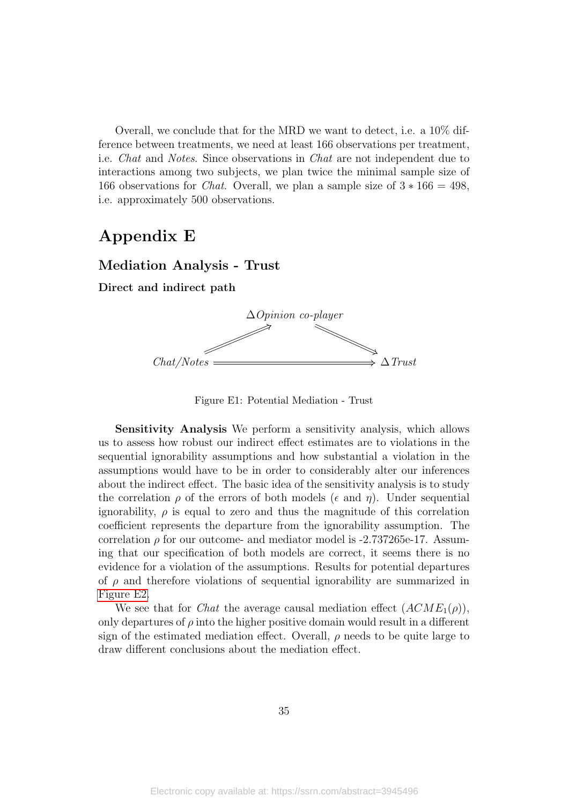Overall, we conclude that for the MRD we want to detect, i.e. a 10% difference between treatments, we need at least 166 observations per treatment, i.e. Chat and Notes. Since observations in Chat are not independent due to interactions among two subjects, we plan twice the minimal sample size of 166 observations for *Chat.* Overall, we plan a sample size of  $3 * 166 = 498$ , i.e. approximately 500 observations.

### <span id="page-35-1"></span>Appendix E

#### Mediation Analysis - Trust

<span id="page-35-0"></span>Direct and indirect path



Figure E1: Potential Mediation - Trust

Sensitivity Analysis We perform a sensitivity analysis, which allows us to assess how robust our indirect effect estimates are to violations in the sequential ignorability assumptions and how substantial a violation in the assumptions would have to be in order to considerably alter our inferences about the indirect effect. The basic idea of the sensitivity analysis is to study the correlation  $\rho$  of the errors of both models ( $\epsilon$  and  $\eta$ ). Under sequential ignorability,  $\rho$  is equal to zero and thus the magnitude of this correlation coefficient represents the departure from the ignorability assumption. The correlation  $\rho$  for our outcome- and mediator model is -2.737265e-17. Assuming that our specification of both models are correct, it seems there is no evidence for a violation of the assumptions. Results for potential departures of  $\rho$  and therefore violations of sequential ignorability are summarized in [Figure E2.](#page-36-0)

We see that for *Chat* the average causal mediation effect  $(ACME_1(\rho))$ , only departures of  $\rho$  into the higher positive domain would result in a different sign of the estimated mediation effect. Overall,  $\rho$  needs to be quite large to draw different conclusions about the mediation effect.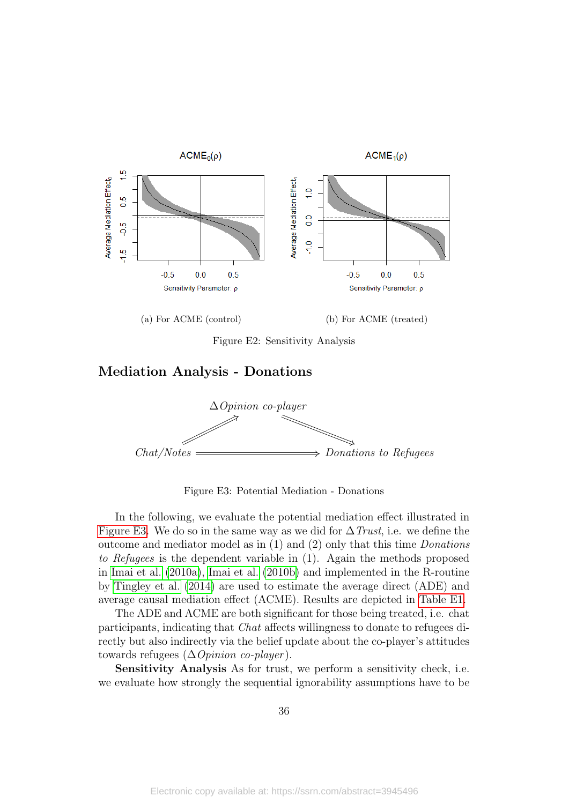<span id="page-36-0"></span>

Figure E2: Sensitivity Analysis

#### Mediation Analysis - Donations

<span id="page-36-1"></span>

Figure E3: Potential Mediation - Donations

In the following, we evaluate the potential mediation effect illustrated in [Figure E3.](#page-36-1) We do so in the same way as we did for  $\Delta$  Trust, i.e. we define the outcome and mediator model as in  $(1)$  and  $(2)$  only that this time *Donations* to Refugees is the dependent variable in (1). Again the methods proposed in [Imai et al.](#page-25-12) [\(2010a\)](#page-25-12), [Imai et al.](#page-25-13) [\(2010b\)](#page-25-13) and implemented in the R-routine by [Tingley et al.](#page-27-7) [\(2014\)](#page-27-7) are used to estimate the average direct (ADE) and average causal mediation effect (ACME). Results are depicted in [Table E1.](#page-37-0)

The ADE and ACME are both significant for those being treated, i.e. chat participants, indicating that Chat affects willingness to donate to refugees directly but also indirectly via the belief update about the co-player's attitudes towards refugees  $(\Delta\textit{Opinion co-player})$ .

Sensitivity Analysis As for trust, we perform a sensitivity check, i.e. we evaluate how strongly the sequential ignorability assumptions have to be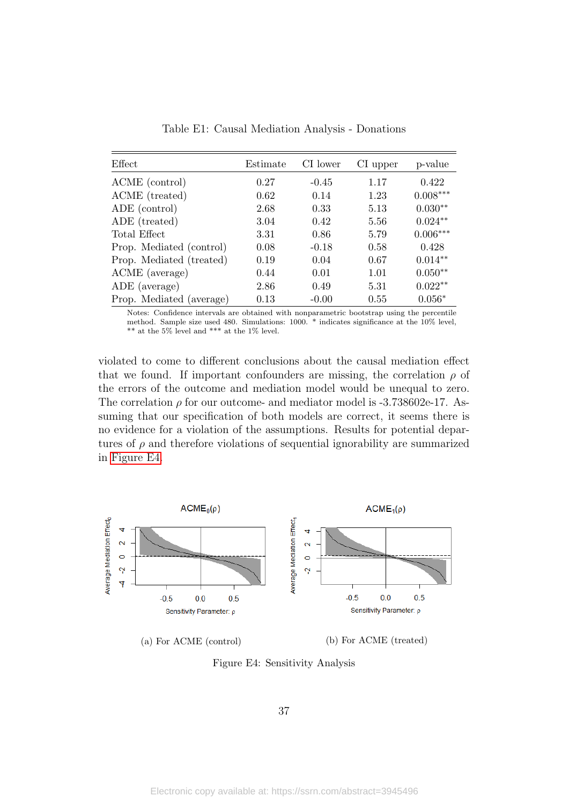<span id="page-37-0"></span>

| Effect                   | Estimate | CI lower | CI upper | p-value    |
|--------------------------|----------|----------|----------|------------|
| ACME (control)           | 0.27     | $-0.45$  | 1.17     | 0.422      |
| ACME (treated)           | 0.62     | 0.14     | 1.23     | $0.008***$ |
| ADE (control)            | 2.68     | 0.33     | 5.13     | $0.030**$  |
| ADE (treated)            | 3.04     | 0.42     | 5.56     | $0.024**$  |
| Total Effect             | 3.31     | 0.86     | 5.79     | $0.006***$ |
| Prop. Mediated (control) | 0.08     | $-0.18$  | 0.58     | 0.428      |
| Prop. Mediated (treated) | 0.19     | 0.04     | 0.67     | $0.014**$  |
| ACME (average)           | 0.44     | 0.01     | 1.01     | $0.050**$  |
| ADE (average)            | 2.86     | 0.49     | 5.31     | $0.022**$  |
| Prop. Mediated (average) | 0.13     | $-0.00$  | 0.55     | $0.056*$   |

Table E1: Causal Mediation Analysis - Donations

Notes: Confidence intervals are obtained with nonparametric bootstrap using the percentile method. Sample size used 480. Simulations: 1000. \* indicates significance at the 10% level, \*\* at the 5% level and \*\*\* at the 1% level.

violated to come to different conclusions about the causal mediation effect that we found. If important confounders are missing, the correlation  $\rho$  of the errors of the outcome and mediation model would be unequal to zero. The correlation  $\rho$  for our outcome- and mediator model is -3.738602e-17. Assuming that our specification of both models are correct, it seems there is no evidence for a violation of the assumptions. Results for potential departures of  $\rho$  and therefore violations of sequential ignorability are summarized in [Figure E4.](#page-37-1)

<span id="page-37-1"></span>

Figure E4: Sensitivity Analysis